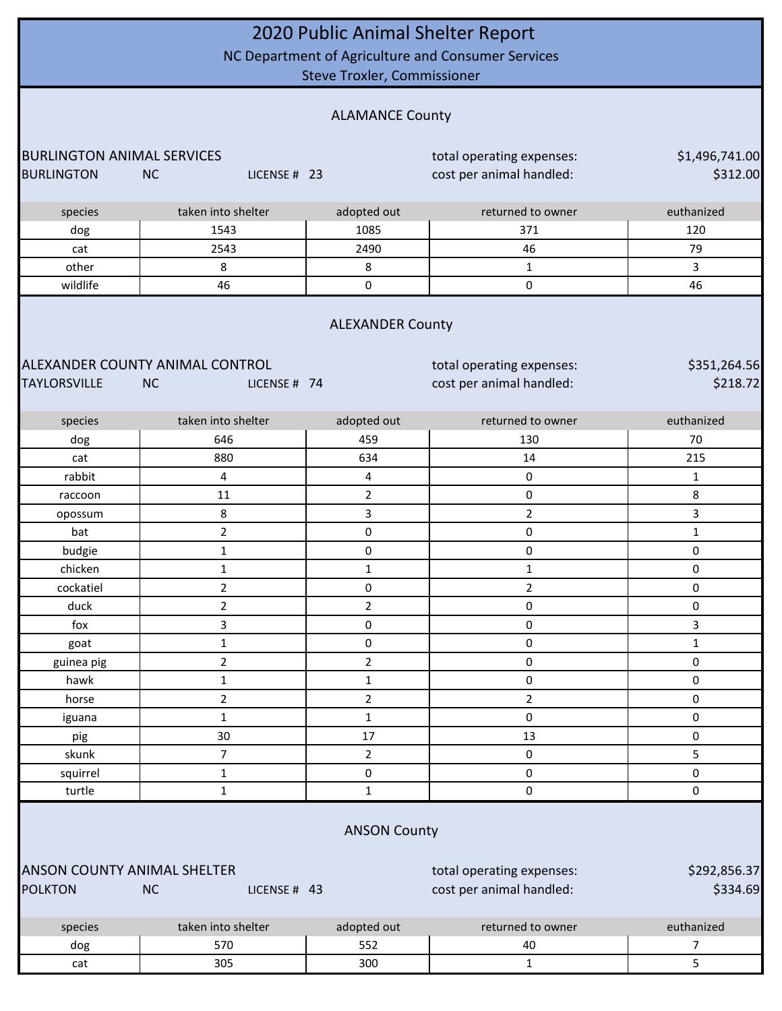|                                                        |                                                              | 2020 Public Animal Shelter Report<br>Steve Troxler, Commissioner | NC Department of Agriculture and Consumer Services    |                            |
|--------------------------------------------------------|--------------------------------------------------------------|------------------------------------------------------------------|-------------------------------------------------------|----------------------------|
|                                                        |                                                              | <b>ALAMANCE County</b>                                           |                                                       |                            |
| <b>BURLINGTON ANIMAL SERVICES</b><br><b>BURLINGTON</b> | <b>NC</b><br>LICENSE # 23                                    |                                                                  | total operating expenses:<br>cost per animal handled: | \$1,496,741.00<br>\$312.00 |
| species                                                | taken into shelter                                           | adopted out                                                      | returned to owner                                     | euthanized                 |
| dog                                                    | 1543                                                         | 1085                                                             | 371                                                   | 120                        |
| cat                                                    | 2543                                                         | 2490                                                             | 46                                                    | 79                         |
| other                                                  | 8                                                            | 8                                                                | $\mathbf{1}$                                          | 3                          |
| wildlife                                               | 46                                                           | 0                                                                | $\pmb{0}$                                             | 46                         |
| <b>TAYLORSVILLE</b>                                    | ALEXANDER COUNTY ANIMAL CONTROL<br><b>NC</b><br>LICENSE # 74 | <b>ALEXANDER County</b>                                          | total operating expenses:<br>cost per animal handled: | \$351,264.56<br>\$218.72   |
| species                                                | taken into shelter                                           | adopted out                                                      | returned to owner                                     | euthanized                 |
| dog                                                    | 646                                                          | 459                                                              | 130                                                   | 70                         |
| cat                                                    | 880                                                          | 634                                                              | 14                                                    | 215                        |
| rabbit                                                 | $\overline{4}$                                               | 4                                                                | 0                                                     | $\mathbf{1}$               |
| raccoon                                                | 11                                                           | $\overline{2}$                                                   | 0                                                     | 8                          |
| opossum                                                | 8                                                            | 3                                                                | $\overline{2}$                                        | 3                          |
| bat                                                    | $\overline{2}$                                               | 0                                                                | 0                                                     | $\mathbf{1}$               |
| budgie                                                 | $\mathbf{1}$                                                 | 0                                                                | 0                                                     | 0                          |
| chicken                                                | 1                                                            | 1                                                                | 1                                                     | 0                          |
| cockatiel                                              | $\overline{\mathbf{c}}$                                      | 0                                                                | $\overline{\mathbf{c}}$                               | 0                          |
| duck                                                   | $\overline{2}$                                               | $\overline{2}$                                                   | 0                                                     | 0                          |
| fox                                                    | 3                                                            | 0                                                                | 0                                                     | 3                          |
| goat                                                   | $\mathbf{1}$                                                 | 0                                                                | 0                                                     | $\mathbf{1}$               |
| guinea pig                                             | $\overline{2}$                                               | $\overline{2}$                                                   | 0                                                     | 0                          |
| hawk                                                   | $\mathbf{1}$                                                 | $\mathbf{1}$                                                     | $\pmb{0}$                                             | $\pmb{0}$                  |
| horse                                                  | $\overline{2}$                                               | $\overline{2}$                                                   | $\overline{2}$                                        | 0                          |
| iguana                                                 | $\mathbf{1}$                                                 | $\mathbf{1}$                                                     | 0                                                     | $\mathbf 0$                |
| pig                                                    | 30                                                           | 17                                                               | 13                                                    | 0                          |
| skunk                                                  | $\overline{7}$                                               | $\overline{2}$                                                   | 0                                                     | 5                          |
| squirrel                                               | $\mathbf{1}$                                                 | 0                                                                | $\pmb{0}$                                             | $\mathsf{O}\xspace$        |
| turtle                                                 | $\mathbf{1}$                                                 | $\mathbf{1}$                                                     | 0                                                     | $\mathsf{O}\xspace$        |
| <b>ANSON COUNTY ANIMAL SHELTER</b><br><b>POLKTON</b>   | <b>NC</b><br>LICENSE # 43                                    | <b>ANSON County</b>                                              | total operating expenses:<br>cost per animal handled: | \$292,856.37<br>\$334.69   |
| species                                                | taken into shelter                                           | adopted out                                                      | returned to owner                                     | euthanized                 |
| dog                                                    | 570                                                          | 552                                                              | 40                                                    | 7                          |
| cat                                                    | 305                                                          | 300                                                              | $\mathbf{1}$                                          | 5                          |
|                                                        |                                                              |                                                                  |                                                       |                            |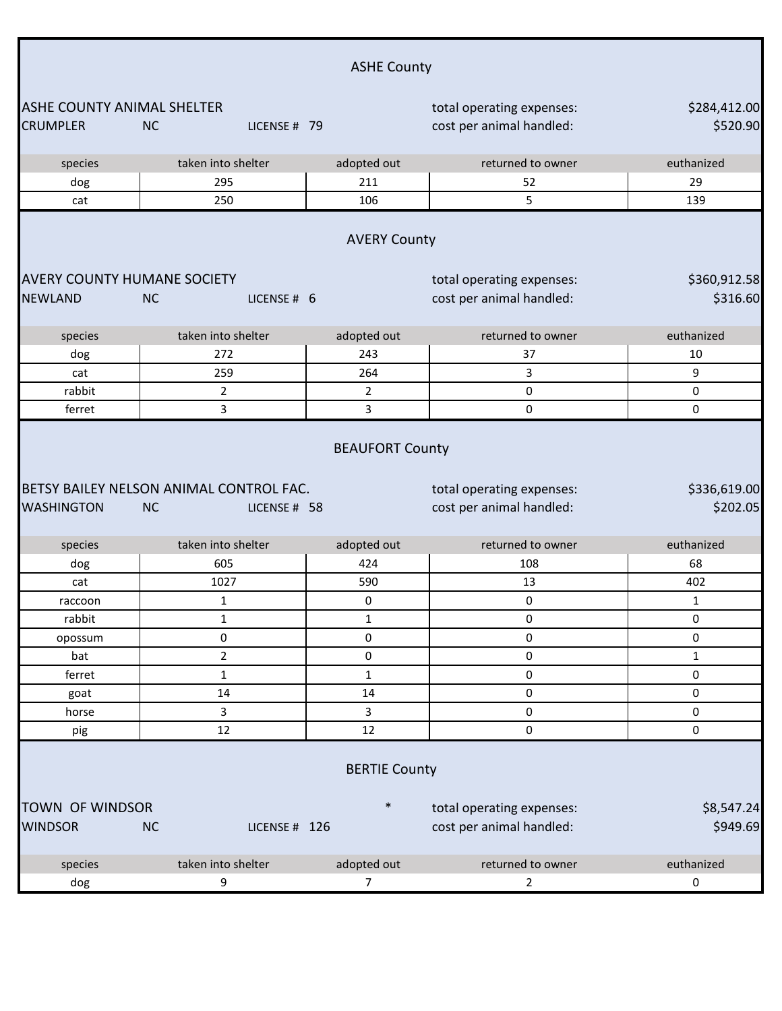|                                                      |                                                                      | <b>ASHE County</b>             |                                                       |                          |
|------------------------------------------------------|----------------------------------------------------------------------|--------------------------------|-------------------------------------------------------|--------------------------|
| <b>ASHE COUNTY ANIMAL SHELTER</b><br><b>CRUMPLER</b> | <b>NC</b><br>LICENSE # 79                                            |                                | total operating expenses:<br>cost per animal handled: | \$284,412.00<br>\$520.90 |
| species                                              | taken into shelter                                                   | adopted out                    | returned to owner                                     | euthanized               |
| dog                                                  | 295                                                                  | 211                            | 52                                                    | 29                       |
| cat                                                  | 250                                                                  | 106                            | 5                                                     | 139                      |
|                                                      |                                                                      | <b>AVERY County</b>            |                                                       |                          |
| <b>AVERY COUNTY HUMANE SOCIETY</b><br><b>NEWLAND</b> | <b>NC</b><br>LICENSE # 6                                             |                                | total operating expenses:<br>cost per animal handled: | \$360,912.58<br>\$316.60 |
| species                                              | taken into shelter                                                   | adopted out                    | returned to owner                                     | euthanized               |
| dog                                                  | 272                                                                  | 243                            | 37                                                    | 10                       |
| cat                                                  | 259                                                                  | 264                            | 3                                                     | 9                        |
| rabbit                                               | $\overline{2}$                                                       | $\overline{2}$                 | 0                                                     | $\pmb{0}$                |
| ferret                                               | $\overline{3}$                                                       | 3                              | 0                                                     | $\pmb{0}$                |
| <b>WASHINGTON</b>                                    | BETSY BAILEY NELSON ANIMAL CONTROL FAC.<br><b>NC</b><br>LICENSE # 58 |                                | total operating expenses:<br>cost per animal handled: | \$336,619.00<br>\$202.05 |
| species                                              | taken into shelter                                                   | adopted out                    | returned to owner                                     | euthanized               |
| dog                                                  | 605                                                                  | 424                            | 108                                                   | 68                       |
| cat                                                  | 1027                                                                 | 590                            | 13                                                    | 402                      |
| raccoon                                              | 1                                                                    | 0                              | 0                                                     | 1                        |
| rabbit                                               | $\mathbf 1$                                                          | $\mathbf{1}$                   | 0                                                     | 0                        |
| opossum                                              | 0                                                                    | 0                              | 0                                                     | 0                        |
| bat                                                  | $\overline{2}$                                                       | 0                              | 0                                                     | $\mathbf{1}$             |
| ferret                                               | $\mathbf{1}$                                                         | $\mathbf{1}$                   | 0                                                     | $\pmb{0}$                |
| goat                                                 | 14                                                                   | 14                             | 0                                                     | $\pmb{0}$                |
| horse                                                | $\mathbf{3}$                                                         | 3                              | 0                                                     | $\pmb{0}$                |
| pig                                                  | 12                                                                   | 12                             | 0                                                     | $\pmb{0}$                |
| TOWN OF WINDSOR<br><b>WINDSOR</b>                    | <b>NC</b><br>LICENSE # 126                                           | <b>BERTIE County</b><br>$\ast$ | total operating expenses:<br>cost per animal handled: | \$8,547.24<br>\$949.69   |
| species                                              | taken into shelter                                                   | adopted out                    | returned to owner                                     | euthanized               |
| dog                                                  | 9                                                                    | 7                              | 2                                                     | 0                        |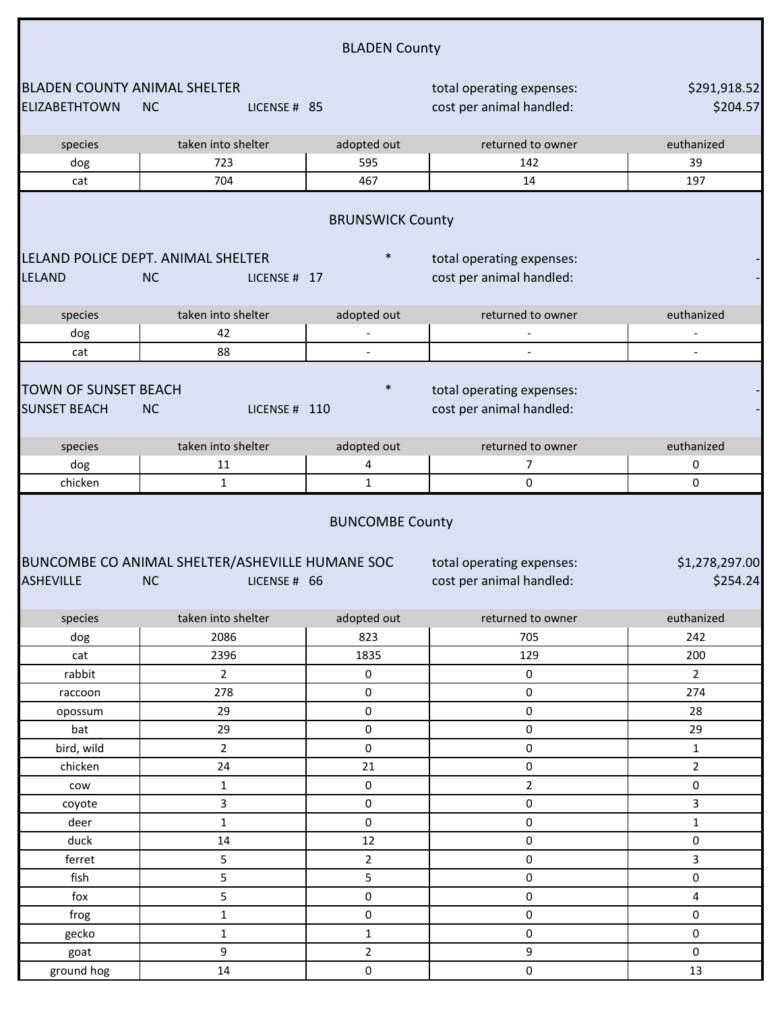|                                     |                                                                              | <b>BLADEN County</b>    |                                                       |                            |
|-------------------------------------|------------------------------------------------------------------------------|-------------------------|-------------------------------------------------------|----------------------------|
|                                     |                                                                              |                         |                                                       |                            |
| <b>BLADEN COUNTY ANIMAL SHELTER</b> |                                                                              |                         | total operating expenses:                             | \$291,918.52               |
| <b>ELIZABETHTOWN</b>                | <b>NC</b><br>LICENSE # 85                                                    |                         | cost per animal handled:                              | \$204.57                   |
|                                     | taken into shelter                                                           |                         | returned to owner                                     | euthanized                 |
| species<br>dog                      | 723                                                                          | adopted out<br>595      | 142                                                   | 39                         |
| cat                                 | 704                                                                          | 467                     | 14                                                    | 197                        |
|                                     |                                                                              |                         |                                                       |                            |
|                                     |                                                                              | <b>BRUNSWICK County</b> |                                                       |                            |
|                                     | LELAND POLICE DEPT. ANIMAL SHELTER                                           | $\ast$                  | total operating expenses:                             |                            |
| <b>LELAND</b>                       | <b>NC</b><br>LICENSE # 17                                                    |                         | cost per animal handled:                              |                            |
|                                     |                                                                              |                         |                                                       |                            |
| species                             | taken into shelter                                                           | adopted out             | returned to owner                                     | euthanized                 |
| dog                                 | 42                                                                           |                         |                                                       |                            |
| cat                                 | 88                                                                           |                         |                                                       |                            |
|                                     |                                                                              |                         |                                                       |                            |
| <b>TOWN OF SUNSET BEACH</b>         |                                                                              | $\ast$                  | total operating expenses:                             |                            |
| <b>SUNSET BEACH</b>                 | <b>NC</b><br>LICENSE # 110                                                   |                         | cost per animal handled:                              |                            |
|                                     |                                                                              |                         |                                                       |                            |
| species                             | taken into shelter                                                           | adopted out             | returned to owner                                     | euthanized                 |
| dog                                 | 11                                                                           | 4                       | 7                                                     | 0                          |
| chicken                             | $\mathbf{1}$                                                                 | $\mathbf{1}$            | 0                                                     | 0                          |
|                                     |                                                                              | <b>BUNCOMBE County</b>  |                                                       |                            |
| <b>ASHEVILLE</b>                    | BUNCOMBE CO ANIMAL SHELTER/ASHEVILLE HUMANE SOC<br><b>NC</b><br>LICENSE # 66 |                         | total operating expenses:<br>cost per animal handled: | \$1,278,297.00<br>\$254.24 |
| species                             | taken into shelter                                                           | adopted out             | returned to owner                                     | euthanized                 |
| dog                                 | 2086                                                                         | 823                     | 705                                                   | 242                        |
| cat                                 | 2396                                                                         | 1835                    | 129                                                   | 200                        |
| rabbit                              | $\overline{2}$                                                               | $\mathsf{O}\xspace$     | $\mathbf 0$                                           | $\overline{2}$             |
| raccoon                             | 278                                                                          | 0                       | 0                                                     | 274                        |
| opossum                             | 29                                                                           | 0                       | 0                                                     | 28                         |
| bat                                 | 29                                                                           | $\pmb{0}$               | 0                                                     | 29                         |
| bird, wild                          | $\overline{2}$                                                               | $\pmb{0}$               | 0                                                     | $\mathbf{1}$               |
| chicken                             | 24                                                                           | 21                      | $\pmb{0}$                                             | $\overline{2}$             |
| cow                                 | $\mathbf{1}$                                                                 | $\pmb{0}$               | $\overline{2}$                                        | $\pmb{0}$                  |
| coyote                              | 3                                                                            | $\pmb{0}$               | 0                                                     | 3                          |
| deer                                | $\mathbf{1}$                                                                 | $\mathsf{O}\xspace$     | $\pmb{0}$                                             | $\mathbf 1$                |
| duck                                | 14                                                                           | 12                      | 0                                                     | $\pmb{0}$                  |
| ferret                              | 5                                                                            | $\overline{2}$          | 0                                                     | $\overline{3}$             |
| fish                                | 5                                                                            | 5                       | 0                                                     | $\pmb{0}$                  |
| fox                                 | 5                                                                            | $\mathsf 0$             | 0                                                     | $\overline{\mathbf{4}}$    |
| frog                                | $\mathbf{1}$                                                                 | 0                       | 0                                                     | $\mathsf{O}\xspace$        |
| gecko                               | $\mathbf{1}$                                                                 | $\mathbf{1}$            | $\pmb{0}$                                             | $\mathsf{O}\xspace$        |
| goat<br>ground hog                  | 9<br>14                                                                      | $\overline{2}$<br>0     | 9<br>0                                                | $\mathsf{O}\xspace$<br>13  |
|                                     |                                                                              |                         |                                                       |                            |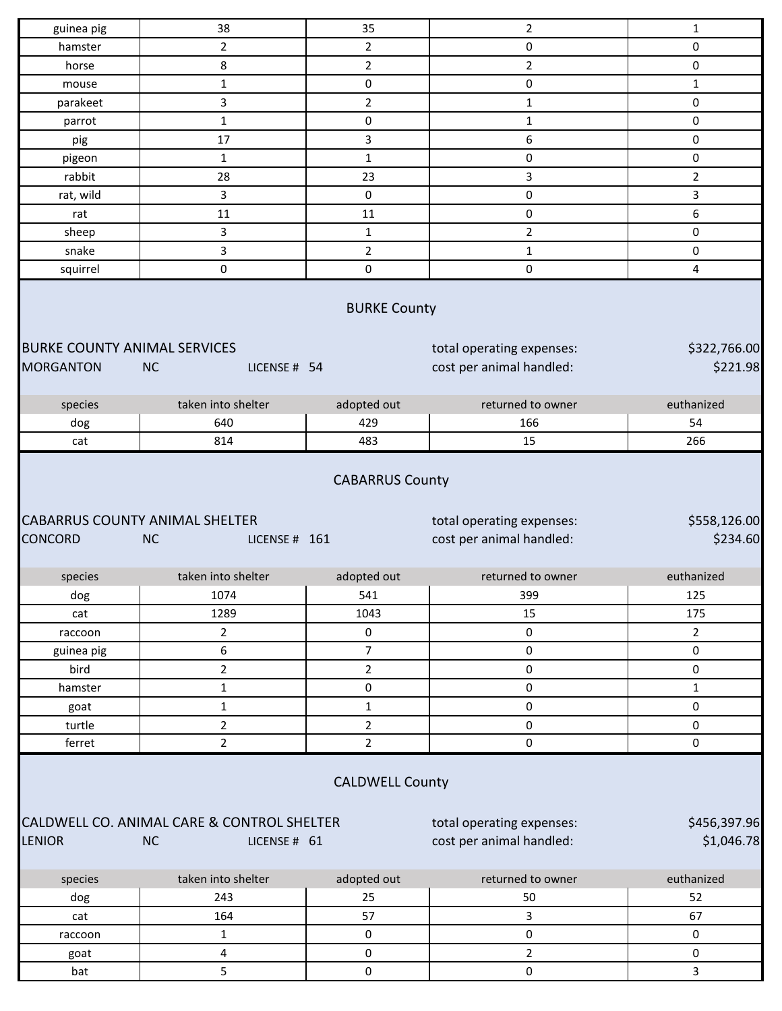| guinea pig                                              | 38                                                                  | 35                     | 2                                                     | 1                                        |
|---------------------------------------------------------|---------------------------------------------------------------------|------------------------|-------------------------------------------------------|------------------------------------------|
| hamster                                                 | $\overline{2}$                                                      | $\overline{2}$         | 0                                                     | 0                                        |
| horse                                                   | 8                                                                   | $\overline{2}$         | $\overline{2}$                                        | $\pmb{0}$                                |
| mouse                                                   | 1                                                                   | $\pmb{0}$              | 0                                                     | $\mathbf{1}$                             |
| parakeet                                                | 3                                                                   | $\overline{2}$         | $\mathbf{1}$                                          | $\pmb{0}$                                |
| parrot                                                  | $\mathbf{1}$                                                        | 0                      | $\mathbf{1}$                                          | 0                                        |
| pig                                                     | 17                                                                  | 3                      | 6                                                     | 0                                        |
| pigeon                                                  | $\mathbf{1}$                                                        | $\mathbf{1}$           | 0                                                     | $\pmb{0}$                                |
| rabbit                                                  | 28                                                                  | 23                     | 3                                                     | $\overline{2}$                           |
| rat, wild                                               | 3                                                                   | $\pmb{0}$              | 0                                                     | 3                                        |
| rat                                                     | 11                                                                  | 11                     | 0                                                     | 6                                        |
| sheep                                                   | 3                                                                   | $\mathbf{1}$           | $\overline{2}$                                        | 0                                        |
| snake                                                   | 3                                                                   | $\overline{2}$         | $\mathbf{1}$                                          | 0                                        |
| squirrel                                                | 0                                                                   | 0                      | 0                                                     | 4                                        |
| <b>BURKE COUNTY ANIMAL SERVICES</b><br><b>MORGANTON</b> | <b>NC</b><br>LICENSE # 54                                           | <b>BURKE County</b>    | total operating expenses:<br>cost per animal handled: | \$322,766.00<br>\$221.98                 |
| species                                                 | taken into shelter                                                  | adopted out            | returned to owner                                     | euthanized                               |
| dog                                                     | 640                                                                 | 429                    | 166                                                   | 54                                       |
|                                                         | 814                                                                 | 483                    | 15                                                    | 266                                      |
| cat                                                     |                                                                     | <b>CABARRUS County</b> |                                                       |                                          |
| <b>CONCORD</b>                                          | <b>CABARRUS COUNTY ANIMAL SHELTER</b><br><b>NC</b><br>LICENSE # 161 |                        | total operating expenses:<br>cost per animal handled: |                                          |
| species                                                 | taken into shelter                                                  | adopted out            | returned to owner                                     | euthanized                               |
| dog                                                     | 1074                                                                | 541                    | 399                                                   | 125                                      |
| cat                                                     | 1289                                                                | 1043                   | 15                                                    | 175                                      |
| raccoon                                                 | $\overline{2}$                                                      | 0                      | 0                                                     | $\overline{2}$                           |
| guinea pig                                              | 6                                                                   | $\overline{7}$         | 0                                                     | $\pmb{0}$                                |
| bird                                                    | $\overline{2}$                                                      | $\overline{2}$         | 0                                                     | $\pmb{0}$                                |
| hamster                                                 | $\mathbf{1}$                                                        | 0                      | 0                                                     | \$558,126.00<br>\$234.60<br>$\mathbf{1}$ |
| goat                                                    | $\mathbf{1}$                                                        | $\mathbf{1}$           | 0                                                     | 0                                        |
| turtle                                                  | $\overline{2}$                                                      | $\overline{2}$         | 0                                                     | $\pmb{0}$                                |
| ferret                                                  | $\overline{2}$                                                      | $\overline{2}$         | 0                                                     | $\pmb{0}$                                |
|                                                         | CALDWELL CO. ANIMAL CARE & CONTROL SHELTER                          | <b>CALDWELL County</b> | total operating expenses:                             |                                          |
| <b>LENIOR</b>                                           | <b>NC</b><br>LICENSE # 61                                           |                        | cost per animal handled:                              |                                          |
| species                                                 | taken into shelter                                                  | adopted out            | returned to owner                                     | euthanized                               |
| dog                                                     | 243                                                                 | 25                     | 50                                                    | 52                                       |
| cat                                                     | 164                                                                 | 57                     | 3                                                     | 67                                       |
| raccoon                                                 | $\mathbf{1}$                                                        | $\pmb{0}$              | 0                                                     | $\pmb{0}$                                |
| goat                                                    | $\overline{\mathbf{4}}$                                             | $\pmb{0}$              | $\overline{2}$                                        | \$456,397.96<br>\$1,046.78<br>$\pmb{0}$  |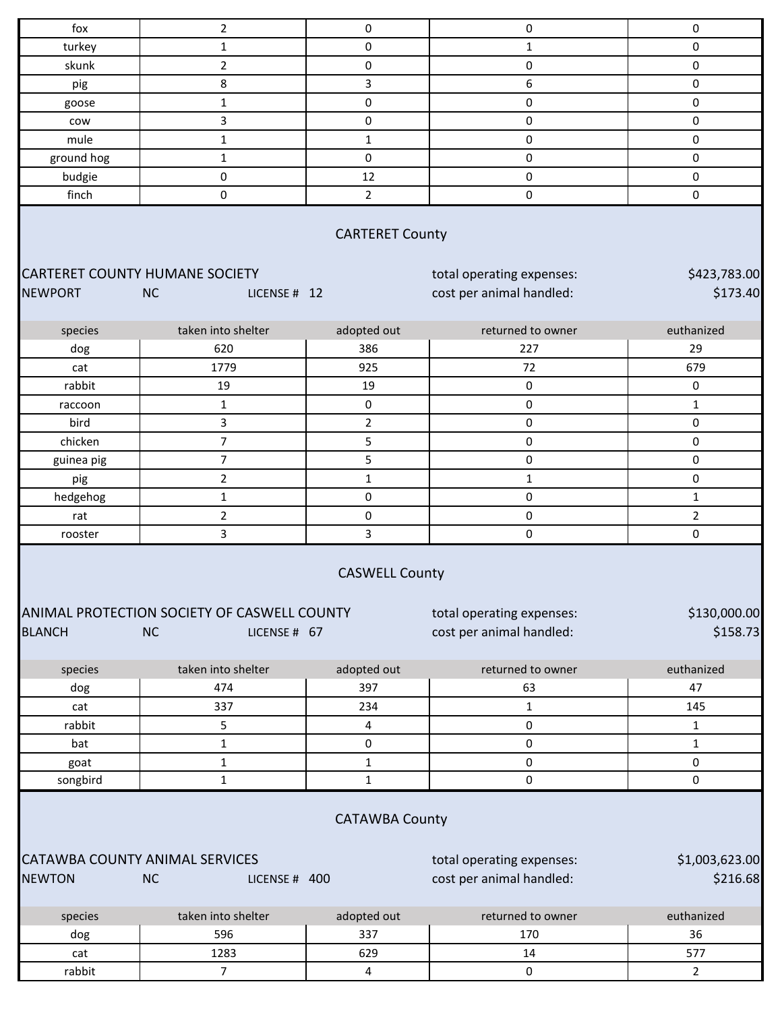| fox             | $\overline{2}$                                                                                                                                                               | 0                       | 0                                                     | 0                        |  |  |
|-----------------|------------------------------------------------------------------------------------------------------------------------------------------------------------------------------|-------------------------|-------------------------------------------------------|--------------------------|--|--|
| turkey          | $\mathbf{1}$                                                                                                                                                                 | $\pmb{0}$               | $\mathbf 1$                                           | 0                        |  |  |
| skunk           | $\overline{2}$                                                                                                                                                               | $\pmb{0}$               | $\pmb{0}$                                             | 0                        |  |  |
| pig             | 8                                                                                                                                                                            | 3                       | 6                                                     | 0                        |  |  |
| goose           | $\mathbf 1$                                                                                                                                                                  | $\pmb{0}$               | $\pmb{0}$                                             | 0                        |  |  |
| cow             | 3                                                                                                                                                                            | 0                       | 0                                                     | 0                        |  |  |
| mule            | $\mathbf{1}$                                                                                                                                                                 | $\mathbf 1$             | $\pmb{0}$                                             | 0                        |  |  |
| ground hog      | $\mathbf{1}$                                                                                                                                                                 | 0                       | $\mathbf 0$                                           | 0                        |  |  |
| budgie          | 0                                                                                                                                                                            | 12                      | $\pmb{0}$                                             | 0                        |  |  |
| finch           | 0                                                                                                                                                                            | $\overline{2}$          | $\pmb{0}$                                             | 0                        |  |  |
| <b>NEWPORT</b>  | CARTERET COUNTY HUMANE SOCIETY<br><b>NC</b><br>LICENSE # 12                                                                                                                  | <b>CARTERET County</b>  | total operating expenses:<br>cost per animal handled: | \$423,783.00<br>\$173.40 |  |  |
| species         | taken into shelter                                                                                                                                                           | adopted out             | returned to owner                                     | euthanized               |  |  |
| dog             | 620                                                                                                                                                                          | 386                     | 227                                                   | 29                       |  |  |
| cat             | 1779                                                                                                                                                                         | 925                     | 72                                                    | 679                      |  |  |
| rabbit          | 19                                                                                                                                                                           | 19                      | $\pmb{0}$                                             | 0                        |  |  |
|                 | $\mathbf{1}$                                                                                                                                                                 | $\mathbf 0$             | $\pmb{0}$                                             | $\mathbf{1}$             |  |  |
| raccoon<br>bird |                                                                                                                                                                              |                         | $\pmb{0}$                                             |                          |  |  |
| chicken         | 3<br>$\overline{7}$                                                                                                                                                          | $\overline{2}$          |                                                       | 0                        |  |  |
|                 |                                                                                                                                                                              | 5                       | $\pmb{0}$                                             | 0                        |  |  |
| guinea pig      | $\overline{7}$                                                                                                                                                               | 5                       | $\pmb{0}$                                             | 0                        |  |  |
| pig             | $\overline{2}$                                                                                                                                                               | $\mathbf{1}$            | $\mathbf{1}$                                          | 0                        |  |  |
| hedgehog        | $\mathbf{1}$                                                                                                                                                                 | $\mathbf 0$             | $\pmb{0}$                                             | $\mathbf{1}$             |  |  |
| rat             | $\overline{2}$                                                                                                                                                               | $\mathbf 0$             | $\pmb{0}$                                             | $\overline{2}$           |  |  |
| rooster         | 3                                                                                                                                                                            | 3                       | $\pmb{0}$                                             | 0                        |  |  |
| <b>BLANCH</b>   | ANIMAL PROTECTION SOCIETY OF CASWELL COUNTY<br><b>NC</b><br>LICENSE # 67                                                                                                     | <b>CASWELL County</b>   | total operating expenses:<br>cost per animal handled: | \$130,000.00<br>\$158.73 |  |  |
| species         | taken into shelter                                                                                                                                                           | adopted out             | returned to owner                                     | euthanized               |  |  |
| dog             | 474                                                                                                                                                                          | 397                     | 63                                                    | 47                       |  |  |
| cat             | 337                                                                                                                                                                          | 234                     | $\mathbf{1}$                                          | 145                      |  |  |
| rabbit          | 5                                                                                                                                                                            | 4                       | $\pmb{0}$                                             | $\mathbf{1}$             |  |  |
| bat             | $\mathbf{1}$                                                                                                                                                                 | $\pmb{0}$               | 0                                                     | $\mathbf{1}$             |  |  |
| goat            | 1                                                                                                                                                                            | $\mathbf{1}$            | 0                                                     | 0                        |  |  |
| songbird        | $\mathbf{1}$                                                                                                                                                                 | $\mathbf{1}$            | $\pmb{0}$                                             | $\mathbf 0$              |  |  |
|                 |                                                                                                                                                                              |                         |                                                       |                          |  |  |
| <b>NEWTON</b>   | <b>CATAWBA County</b><br>CATAWBA COUNTY ANIMAL SERVICES<br>\$1,003,623.00<br>total operating expenses:<br>\$216.68<br>cost per animal handled:<br><b>NC</b><br>LICENSE # 400 |                         |                                                       |                          |  |  |
| species         | taken into shelter                                                                                                                                                           | adopted out             | returned to owner                                     | euthanized               |  |  |
| dog             | 596                                                                                                                                                                          | 337                     | 170                                                   | 36                       |  |  |
| cat             | 1283                                                                                                                                                                         | 629                     | 14                                                    | 577                      |  |  |
| rabbit          | $\overline{7}$                                                                                                                                                               | $\overline{\mathbf{4}}$ | $\pmb{0}$                                             | $\overline{2}$           |  |  |
|                 |                                                                                                                                                                              |                         |                                                       |                          |  |  |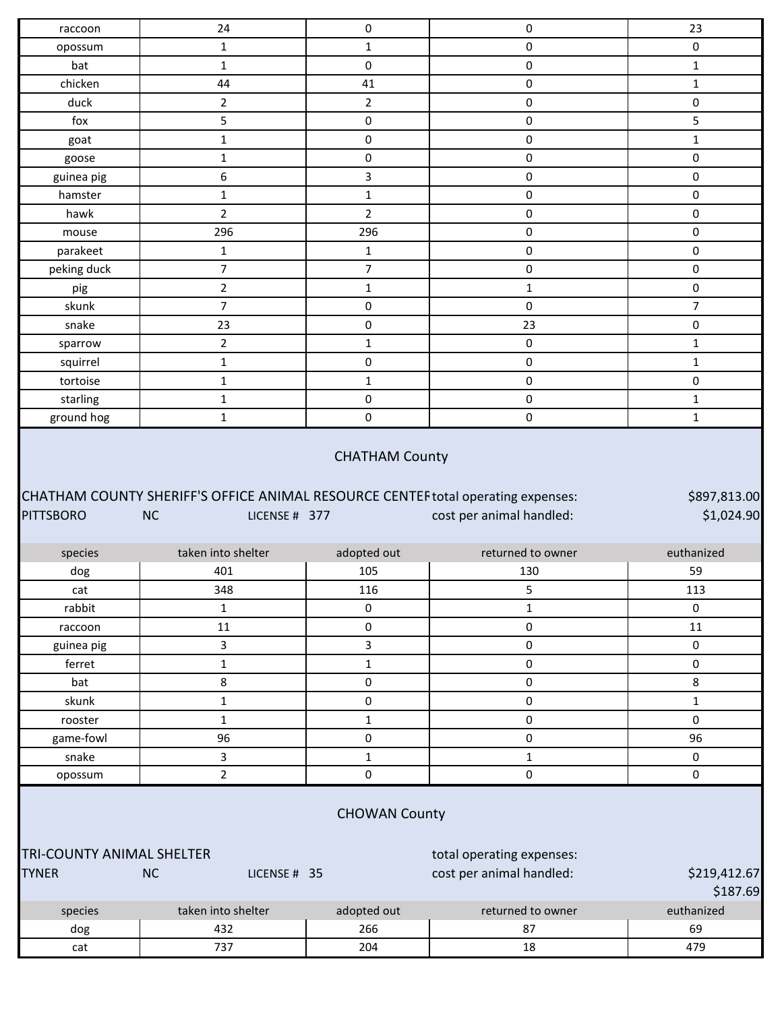| opossum                          | 24                         | $\pmb{0}$            | $\pmb{0}$                 | 23                                    |
|----------------------------------|----------------------------|----------------------|---------------------------|---------------------------------------|
|                                  | 1                          | $\mathbf{1}$         | 0                         | $\mathsf{O}\xspace$                   |
| bat                              | $\mathbf{1}$               | $\pmb{0}$            | 0                         | $\mathbf{1}$                          |
| chicken                          | 44                         | 41                   | 0                         | $\mathbf{1}$                          |
| duck                             | $\overline{2}$             | $\overline{2}$       | 0                         | $\pmb{0}$                             |
| fox                              | 5                          | $\pmb{0}$            | 0                         | 5                                     |
| goat                             | 1                          | 0                    | 0                         | $\mathbf{1}$                          |
| goose                            | 1                          | 0                    | 0                         | 0                                     |
| guinea pig                       | 6                          | 3                    | 0                         | $\pmb{0}$                             |
| hamster                          | $\mathbf{1}$               | $\mathbf{1}$         | 0                         | $\pmb{0}$                             |
| hawk                             | $\overline{2}$             | $\overline{2}$       | 0                         | $\pmb{0}$                             |
| mouse                            | 296                        | 296                  | 0                         | $\pmb{0}$                             |
| parakeet                         | $\mathbf{1}$               | $\mathbf{1}$         | 0                         | $\pmb{0}$                             |
| peking duck                      | $\overline{7}$             | 7                    | 0                         | $\pmb{0}$                             |
| pig                              | $\overline{2}$             | $\mathbf{1}$         | $\mathbf{1}$              | $\pmb{0}$                             |
| skunk                            | $\overline{7}$             | 0                    | 0                         | $\overline{7}$                        |
| snake                            | 23                         | $\pmb{0}$            | 23                        | $\pmb{0}$                             |
| sparrow                          | $\overline{2}$             | $\mathbf{1}$         | $\pmb{0}$                 | $\mathbf{1}$                          |
| squirrel                         | $\mathbf{1}$               | 0                    | 0                         | $\mathbf{1}$                          |
| tortoise                         | $\mathbf{1}$               | $\mathbf{1}$         | 0                         | $\pmb{0}$                             |
| starling                         | $\mathbf{1}$               | $\pmb{0}$            | 0                         | $\mathbf{1}$                          |
| ground hog                       | $\mathbf{1}$               | 0                    | 0                         | $\mathbf{1}$                          |
| <b>PITTSBORO</b>                 | <b>NC</b><br>LICENSE # 377 |                      | cost per animal handled:  | \$1,024.90                            |
| species                          |                            |                      |                           |                                       |
| dog                              | taken into shelter         | adopted out          | returned to owner         | euthanized                            |
|                                  | 401                        | 105                  | 130                       | 59                                    |
| cat                              | 348                        | 116                  | 5                         | 113                                   |
| rabbit                           | 1                          | 0                    | $\mathbf 1$               | $\mathsf{O}\xspace$                   |
| raccoon                          | 11                         | 0                    | 0                         | $11\,$                                |
| guinea pig                       | 3                          | 3                    | 0                         | $\mathbf 0$                           |
| ferret                           | $\mathbf{1}$               | $\mathbf{1}$         | 0                         | $\pmb{0}$                             |
| bat                              | 8                          | 0                    | 0                         | $\,8\,$                               |
| skunk                            | $\mathbf{1}$               | 0                    | 0                         | $\mathbf{1}$                          |
| rooster                          | $\mathbf{1}$               | $\mathbf{1}$         | 0                         | $\mathsf{O}\xspace$                   |
| game-fowl                        | 96                         | 0                    | 0                         | 96                                    |
| snake                            | 3                          | $\mathbf{1}$         | $\mathbf 1$               | $\pmb{0}$                             |
| opossum                          | $\overline{2}$             | 0                    | 0                         | $\pmb{0}$                             |
| <b>TRI-COUNTY ANIMAL SHELTER</b> |                            | <b>CHOWAN County</b> | total operating expenses: |                                       |
| <b>TYNER</b>                     | NC<br>LICENSE # 35         |                      | cost per animal handled:  |                                       |
|                                  |                            |                      |                           |                                       |
| species                          | taken into shelter         | adopted out          | returned to owner         | euthanized                            |
| dog<br>cat                       | 432<br>737                 | 266<br>204           | 87<br>18                  | \$219,412.67<br>\$187.69<br>69<br>479 |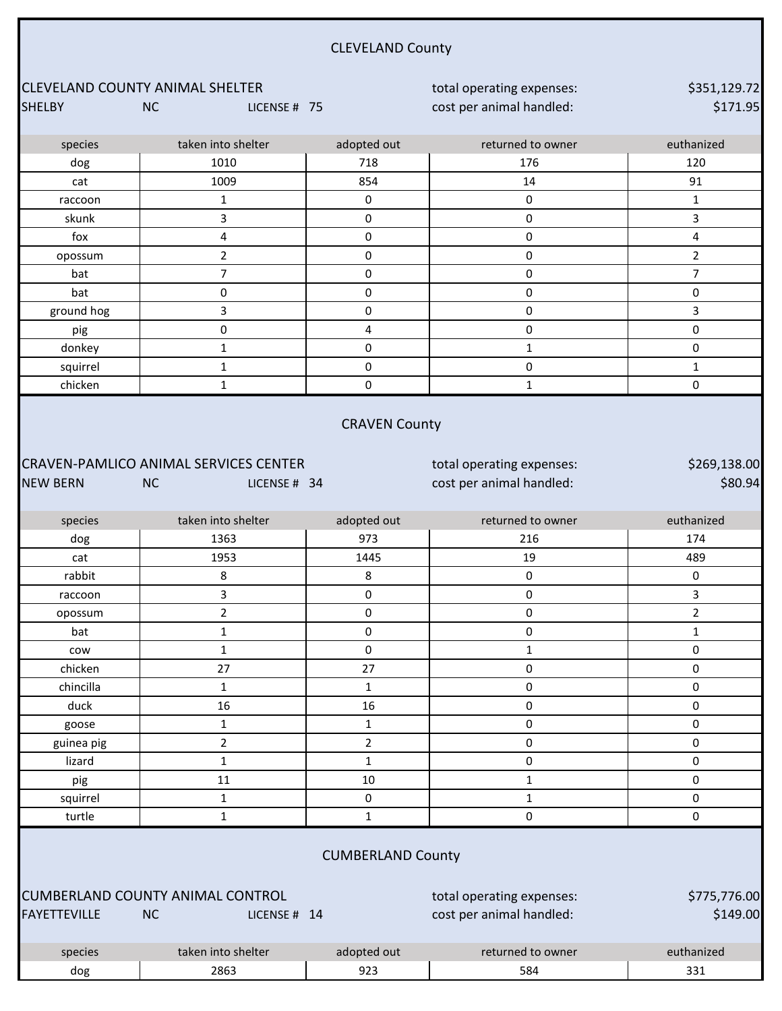|                      |                                                                           | <b>CLEVELAND County</b>        |                                                       |                          |
|----------------------|---------------------------------------------------------------------------|--------------------------------|-------------------------------------------------------|--------------------------|
|                      |                                                                           |                                |                                                       |                          |
| <b>SHELBY</b>        | <b>CLEVELAND COUNTY ANIMAL SHELTER</b><br><b>NC</b><br>LICENSE # 75       |                                | total operating expenses:<br>cost per animal handled: | \$351,129.72<br>\$171.95 |
|                      |                                                                           |                                |                                                       |                          |
| species              | taken into shelter                                                        | adopted out                    | returned to owner                                     | euthanized               |
| dog                  | 1010                                                                      | 718                            | 176                                                   | 120                      |
| cat                  | 1009                                                                      | 854                            | 14                                                    | 91                       |
| raccoon              | $\mathbf 1$                                                               | 0                              | $\mathsf{O}\xspace$                                   | $\mathbf{1}$             |
| skunk                | 3                                                                         | 0                              | $\mathsf{O}\xspace$                                   | 3                        |
| fox                  | 4                                                                         | 0                              | 0                                                     | 4                        |
| opossum              | $\overline{2}$                                                            | 0                              | 0                                                     | $\overline{2}$           |
| bat                  | $\boldsymbol{7}$                                                          | 0                              | $\pmb{0}$                                             | $\overline{7}$           |
| bat                  | $\pmb{0}$                                                                 | 0                              | 0                                                     | 0                        |
| ground hog           | 3                                                                         | 0                              | $\pmb{0}$                                             | 3                        |
| pig                  | $\pmb{0}$                                                                 | 4                              | 0                                                     | 0                        |
| donkey               | $\mathbf{1}$                                                              | 0                              | $\mathbf{1}$                                          | 0                        |
| squirrel             | $\mathbf{1}$                                                              | 0                              | 0                                                     | $\mathbf{1}$             |
| chicken              | 1                                                                         | 0                              | $\mathbf{1}$                                          | 0                        |
| <b>NEW BERN</b>      | <b>CRAVEN-PAMLICO ANIMAL SERVICES CENTER</b><br><b>NC</b><br>LICENSE # 34 |                                | total operating expenses:<br>cost per animal handled: | \$269,138.00<br>\$80.94  |
| species              | taken into shelter                                                        | adopted out                    | returned to owner                                     | euthanized               |
| dog                  | 1363                                                                      | 973                            | 216                                                   | 174                      |
| cat                  | 1953                                                                      | 1445                           | 19                                                    | 489                      |
| rabbit               | 8                                                                         | 8                              | $\mathsf{O}\xspace$                                   | 0                        |
| raccoon              | 3                                                                         | 0                              | $\pmb{0}$                                             | 3                        |
| opossum              | $\overline{2}$                                                            | 0                              | 0                                                     | $\overline{2}$           |
| bat                  | $\mathbf{1}$                                                              | 0                              | 0                                                     | $\mathbf{1}$             |
| cow                  | $\mathbf{1}$                                                              | 0                              | $\mathbf{1}$                                          | 0                        |
| chicken              | 27                                                                        | 27                             | 0                                                     | 0                        |
| chincilla            | $\mathbf{1}$                                                              | $\mathbf{1}$                   | $\mathsf{O}\xspace$                                   | 0                        |
| duck                 | 16                                                                        | 16                             | 0                                                     | 0                        |
| goose                | $\mathbf{1}$                                                              | $\mathbf{1}$<br>$\overline{2}$ | $\pmb{0}$<br>0                                        | 0<br>0                   |
| guinea pig<br>lizard | $\overline{2}$<br>$\mathbf{1}$                                            | $\mathbf{1}$                   | 0                                                     | 0                        |
| pig                  | 11                                                                        | 10                             | $\mathbf{1}$                                          | 0                        |
| squirrel             | $\mathbf{1}$                                                              | 0                              | $\mathbf{1}$                                          | 0                        |
| turtle               | $\mathbf{1}$                                                              | $\mathbf{1}$                   | $\mathsf{O}\xspace$                                   | $\pmb{0}$                |
| <b>FAYETTEVILLE</b>  | <b>CUMBERLAND COUNTY ANIMAL CONTROL</b><br><b>NC</b><br>LICENSE # 14      | <b>CUMBERLAND County</b>       | total operating expenses:<br>cost per animal handled: | \$775,776.00<br>\$149.00 |
| species              | taken into shelter                                                        | adopted out                    | returned to owner                                     | euthanized               |
| dog                  | 2863                                                                      | 923                            | 584                                                   | 331                      |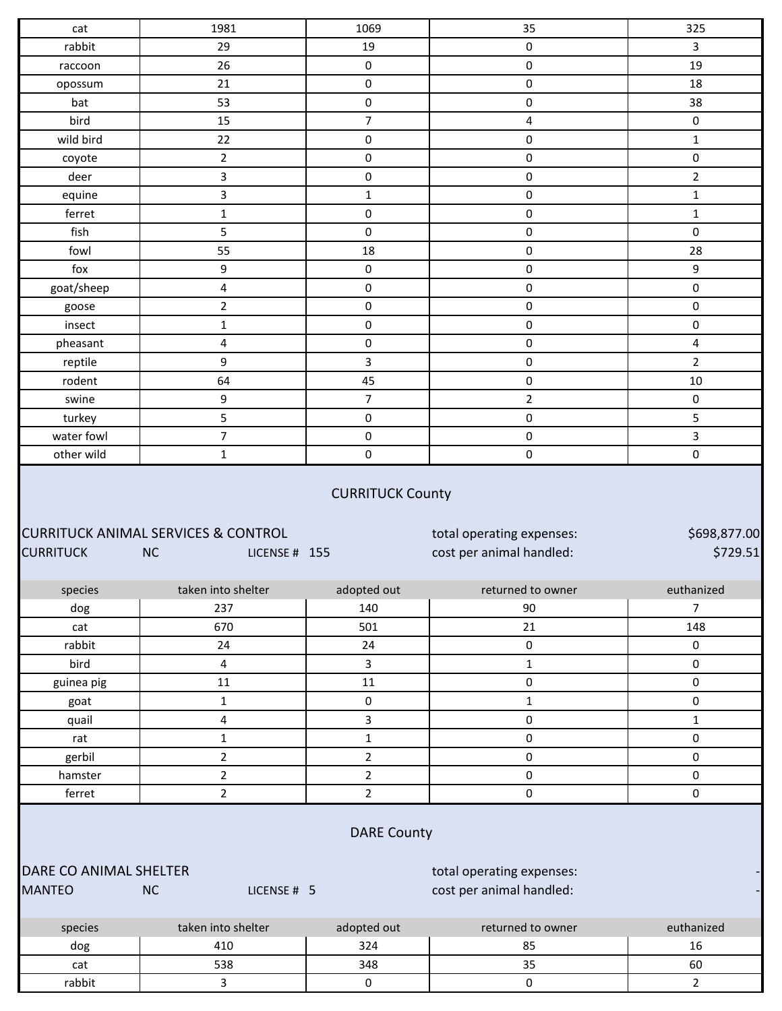| 1981                                                                  | 1069               | 35                                                    | 325                                   |
|-----------------------------------------------------------------------|--------------------|-------------------------------------------------------|---------------------------------------|
| 29                                                                    | 19                 | 0                                                     | 3                                     |
| 26                                                                    | $\pmb{0}$          | $\pmb{0}$                                             | 19                                    |
| 21                                                                    | $\pmb{0}$          | $\pmb{0}$                                             | 18                                    |
| 53                                                                    | $\pmb{0}$          | 0                                                     | 38                                    |
| 15                                                                    | $\overline{7}$     | 4                                                     | $\pmb{0}$                             |
| 22                                                                    | $\pmb{0}$          | 0                                                     | $\mathbf{1}$                          |
| $\overline{a}$                                                        | $\pmb{0}$          | 0                                                     | 0                                     |
| 3                                                                     | $\pmb{0}$          | $\pmb{0}$                                             | $\overline{2}$                        |
| 3                                                                     | $\mathbf{1}$       | 0                                                     | $\mathbf 1$                           |
| $\mathbf 1$                                                           | $\pmb{0}$          | $\pmb{0}$                                             | $\mathbf 1$                           |
| 5                                                                     | $\pmb{0}$          | $\pmb{0}$                                             | $\mathsf{O}\xspace$                   |
| 55                                                                    | 18                 | 0                                                     | 28                                    |
| 9                                                                     | $\pmb{0}$          | 0                                                     | 9                                     |
| $\overline{\mathbf{4}}$                                               | $\pmb{0}$          | $\pmb{0}$                                             | 0                                     |
| $\overline{a}$                                                        | $\pmb{0}$          | 0                                                     | $\pmb{0}$                             |
| 1                                                                     | $\mathsf 0$        | 0                                                     | $\mathbf 0$                           |
| $\overline{\mathbf{4}}$                                               | $\pmb{0}$          | $\pmb{0}$                                             | 4                                     |
| 9                                                                     | 3                  | 0                                                     | $\overline{2}$                        |
| 64                                                                    | 45                 | 0                                                     | $10\,$                                |
| 9                                                                     | $\overline{7}$     | $\overline{2}$                                        | $\mathsf 0$                           |
| 5                                                                     | $\pmb{0}$          | 0                                                     | 5                                     |
| $\overline{7}$                                                        | $\pmb{0}$          | $\pmb{0}$                                             | 3                                     |
| $\mathbf{1}$                                                          | $\pmb{0}$          | 0                                                     | $\pmb{0}$                             |
|                                                                       |                    |                                                       |                                       |
| <b>CURRITUCK ANIMAL SERVICES &amp; CONTROL</b><br>NC<br>LICENSE # 155 |                    | total operating expenses:<br>cost per animal handled: |                                       |
|                                                                       |                    |                                                       |                                       |
| taken into shelter                                                    | adopted out        | returned to owner                                     | euthanized                            |
| 237                                                                   | 140                | 90                                                    | $\overline{7}$                        |
| 670                                                                   | 501                | 21                                                    | 148                                   |
| 24                                                                    | 24                 | 0                                                     | $\mathbf 0$                           |
| 4                                                                     | 3                  | $\mathbf{1}$                                          | $\mathbf 0$                           |
| 11                                                                    | ${\bf 11}$         | 0                                                     | $\mathsf{O}\xspace$                   |
| $\mathbf{1}$                                                          | $\pmb{0}$          | $\mathbf 1$                                           | \$698,877.00<br>\$729.51<br>$\pmb{0}$ |
| $\overline{4}$                                                        | 3                  | $\pmb{0}$                                             | $\mathbf 1$                           |
| $\mathbf{1}$                                                          | $\mathbf{1}$       | 0                                                     | $\mathsf{O}\xspace$                   |
| $\overline{a}$                                                        | $\overline{2}$     | $\pmb{0}$                                             | $\mathsf{O}\xspace$                   |
| $\overline{a}$                                                        | $\overline{2}$     | 0                                                     | $\mathsf 0$                           |
| $\overline{2}$                                                        | $\overline{2}$     | $\pmb{0}$                                             | $\pmb{0}$                             |
|                                                                       | <b>DARE County</b> |                                                       |                                       |
| DARE CO ANIMAL SHELTER                                                |                    | total operating expenses:                             |                                       |
| NC<br>LICENSE # 5                                                     |                    | cost per animal handled:                              |                                       |
| taken into shelter                                                    |                    | returned to owner                                     | euthanized                            |
| 410                                                                   | adopted out<br>324 | 85                                                    | 16                                    |
| 538                                                                   | 348                | 35                                                    | 60                                    |
|                                                                       |                    |                                                       | <b>CURRITUCK County</b>               |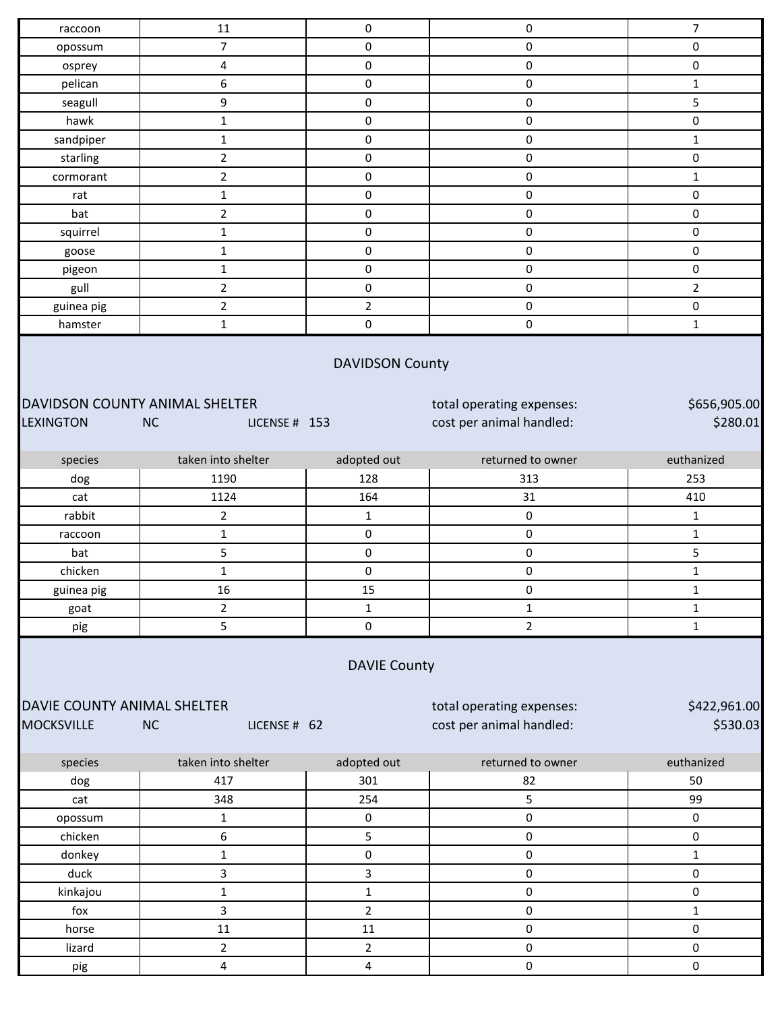| raccoon                                          | 11                                                           | 0                      | 0                                                     | $\overline{7}$           |
|--------------------------------------------------|--------------------------------------------------------------|------------------------|-------------------------------------------------------|--------------------------|
| opossum                                          | $\overline{7}$                                               | 0                      | 0                                                     | $\mathbf 0$              |
| osprey                                           | 4                                                            | $\pmb{0}$              | 0                                                     | $\mathbf 0$              |
| pelican                                          | 6                                                            | 0                      | 0                                                     | $\mathbf 1$              |
| seagull                                          | 9                                                            | $\pmb{0}$              | 0                                                     | 5                        |
| hawk                                             | $\mathbf 1$                                                  | $\pmb{0}$              | 0                                                     | $\pmb{0}$                |
| sandpiper                                        | $\mathbf{1}$                                                 | 0                      | 0                                                     | $\mathbf{1}$             |
| starling                                         | $\overline{2}$                                               | 0                      | 0                                                     | $\mathbf 0$              |
| cormorant                                        | $\overline{2}$                                               | 0                      | 0                                                     | $\mathbf{1}$             |
| rat                                              | $\mathbf{1}$                                                 | $\pmb{0}$              | 0                                                     | $\pmb{0}$                |
| bat                                              | $\overline{2}$                                               | $\pmb{0}$              | 0                                                     | $\mathsf{O}\xspace$      |
| squirrel                                         | $\mathbf 1$                                                  | $\pmb{0}$              | 0                                                     | $\pmb{0}$                |
| goose                                            | $\mathbf{1}$                                                 | $\pmb{0}$              | 0                                                     | $\mathsf{O}\xspace$      |
| pigeon                                           | $\mathbf{1}$                                                 | 0                      | 0                                                     | $\mathsf 0$              |
| gull                                             | $\overline{2}$                                               | 0                      | 0                                                     | $\overline{2}$           |
| guinea pig                                       | $\overline{2}$                                               | $\overline{2}$         | 0                                                     | $\mathsf{O}\xspace$      |
| hamster                                          | $\mathbf{1}$                                                 | $\pmb{0}$              | $\pmb{0}$                                             | $\mathbf 1$              |
| <b>LEXINGTON</b>                                 | DAVIDSON COUNTY ANIMAL SHELTER<br><b>NC</b><br>LICENSE # 153 | <b>DAVIDSON County</b> | total operating expenses:<br>cost per animal handled: | \$656,905.00<br>\$280.01 |
| species                                          | taken into shelter                                           | adopted out            | returned to owner                                     | euthanized               |
| dog                                              | 1190                                                         | 128                    | 313                                                   | 253                      |
| cat                                              | 1124                                                         | 164                    | 31                                                    | 410                      |
| rabbit                                           | $\overline{2}$                                               | $\mathbf{1}$           | $\pmb{0}$                                             | $\mathbf{1}$             |
| raccoon                                          | $\mathbf{1}$                                                 | $\pmb{0}$              | 0                                                     | $\mathbf{1}$             |
| bat                                              | 5                                                            | 0                      | 0                                                     | 5                        |
| chicken                                          | $\mathbf{1}$                                                 | 0                      | 0                                                     | $\mathbf 1$              |
| guinea pig                                       | 16                                                           | 15                     | 0                                                     | $\mathbf 1$              |
| goat                                             | $\overline{2}$                                               | $\mathbf{1}$           | $\mathbf{1}$                                          | $\mathbf{1}$             |
| pig                                              | 5                                                            | $\pmb{0}$              | $\overline{2}$                                        | $\mathbf{1}$             |
| DAVIE COUNTY ANIMAL SHELTER<br><b>MOCKSVILLE</b> | <b>NC</b><br>LICENSE # 62                                    | <b>DAVIE County</b>    | total operating expenses:<br>cost per animal handled: | \$422,961.00<br>\$530.03 |
| species                                          | taken into shelter                                           | adopted out            | returned to owner                                     | euthanized               |
| dog                                              | 417                                                          | 301                    | 82                                                    | 50                       |
| cat                                              | 348                                                          | 254                    | 5                                                     | 99                       |
| opossum                                          | $\mathbf{1}$                                                 | $\mathsf 0$            | 0                                                     | $\mathsf{O}\xspace$      |
| chicken                                          | 6                                                            | 5                      | 0                                                     | $\mathsf 0$              |
| donkey                                           | $\mathbf{1}$                                                 | 0                      | 0                                                     | $\mathbf{1}$             |
| duck                                             | 3                                                            | 3                      | 0                                                     | $\mathbf 0$              |
| kinkajou                                         | $\mathbf 1$                                                  | $\mathbf{1}$           | 0                                                     | $\pmb{0}$                |
| fox                                              | 3                                                            | $\overline{2}$         | 0                                                     | $\mathbf{1}$             |
| horse                                            | $11\,$                                                       | 11                     | 0                                                     | $\mathsf{O}\xspace$      |
| lizard                                           | $\overline{2}$                                               | $\overline{2}$         | 0                                                     | $\mathbf 0$              |
| pig                                              | 4                                                            | 4                      | 0                                                     | $\mathsf{O}\xspace$      |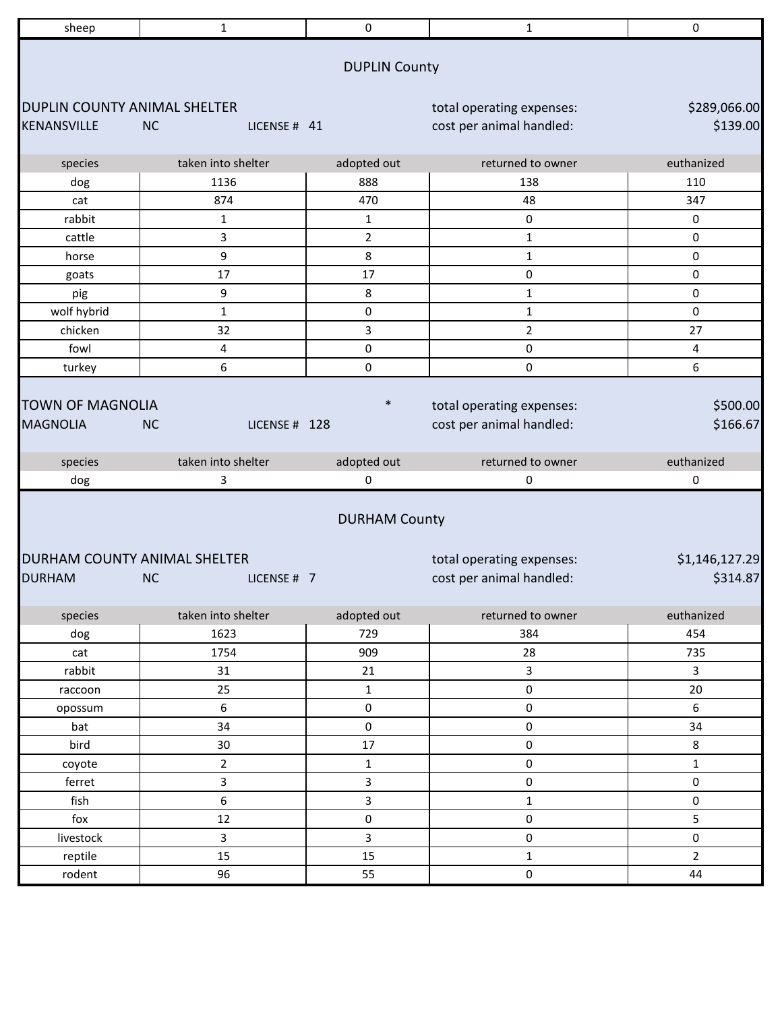| sheep                        | $\mathbf{1}$               | $\mathsf{O}\xspace$  | $\mathbf{1}$              | $\mathsf{O}\xspace$ |
|------------------------------|----------------------------|----------------------|---------------------------|---------------------|
|                              |                            | <b>DUPLIN County</b> |                           |                     |
| DUPLIN COUNTY ANIMAL SHELTER |                            |                      | total operating expenses: | \$289,066.00        |
| <b>KENANSVILLE</b>           | <b>NC</b><br>LICENSE # 41  |                      | cost per animal handled:  | \$139.00            |
|                              |                            |                      |                           |                     |
| species                      | taken into shelter         | adopted out          | returned to owner         | euthanized          |
| dog                          | 1136                       | 888                  | 138                       | 110                 |
| cat                          | 874                        | 470                  | 48                        | 347                 |
| rabbit                       | $\mathbf{1}$               | $\mathbf{1}$         | 0                         | $\mathbf 0$         |
| cattle                       | 3                          | $\overline{2}$       | $\mathbf{1}$              | $\mathbf 0$         |
| horse                        | 9                          | 8                    | $\mathbf{1}$              | 0                   |
| goats                        | 17                         | 17                   | 0                         | 0                   |
| pig                          | 9                          | 8                    | $\mathbf{1}$              | 0                   |
| wolf hybrid                  | $\mathbf{1}$               | 0                    | $\mathbf{1}$              | $\mathsf 0$         |
| chicken                      | 32                         | 3                    | $\overline{2}$            | 27                  |
| fowl                         | 4                          | 0                    | 0                         | 4                   |
| turkey                       | 6                          | 0                    | 0                         | 6                   |
|                              |                            | $\ast$               |                           |                     |
| <b>TOWN OF MAGNOLIA</b>      |                            |                      | total operating expenses: | \$500.00            |
| <b>MAGNOLIA</b>              | <b>NC</b><br>LICENSE # 128 |                      | cost per animal handled:  | \$166.67            |
| species                      | taken into shelter         | adopted out          | returned to owner         | euthanized          |
| dog                          | 3                          | 0                    | 0                         | 0                   |
|                              |                            | <b>DURHAM County</b> |                           |                     |
| DURHAM COUNTY ANIMAL SHELTER |                            |                      | total operating expenses: | \$1,146,127.29      |
| <b>DURHAM</b>                | <b>NC</b><br>LICENSE # 7   |                      | cost per animal handled:  | \$314.87            |
| species                      | taken into shelter         | adopted out          | returned to owner         | euthanized          |
| dog                          | 1623                       | 729                  | 384                       | 454                 |
| cat                          | 1754                       | 909                  | 28                        | 735                 |
| rabbit                       | 31                         | 21                   | $\mathbf{3}$              | 3                   |
| raccoon                      | 25                         | $\mathbf 1$          | 0                         | 20                  |
| opossum                      | 6                          | $\mathsf{O}\xspace$  | 0                         | 6                   |
| bat                          | 34                         | $\mathbf 0$          | 0                         | 34                  |
| bird                         | 30                         | 17                   | 0                         | 8                   |
| coyote                       | $\overline{2}$             | $\mathbf{1}$         | 0                         | $\mathbf 1$         |
| ferret                       | 3                          | 3                    | 0                         | $\mathsf{O}\xspace$ |
| fish                         | 6                          | 3                    | $\mathbf 1$               | $\pmb{0}$           |
| fox                          | 12                         | $\pmb{0}$            | 0                         | 5                   |
| livestock                    | 3                          | 3                    | 0                         | $\mathsf 0$         |
| reptile                      | 15                         | 15                   | $\mathbf 1$               | $\overline{2}$      |
| rodent                       | 96                         | 55                   | 0                         | 44                  |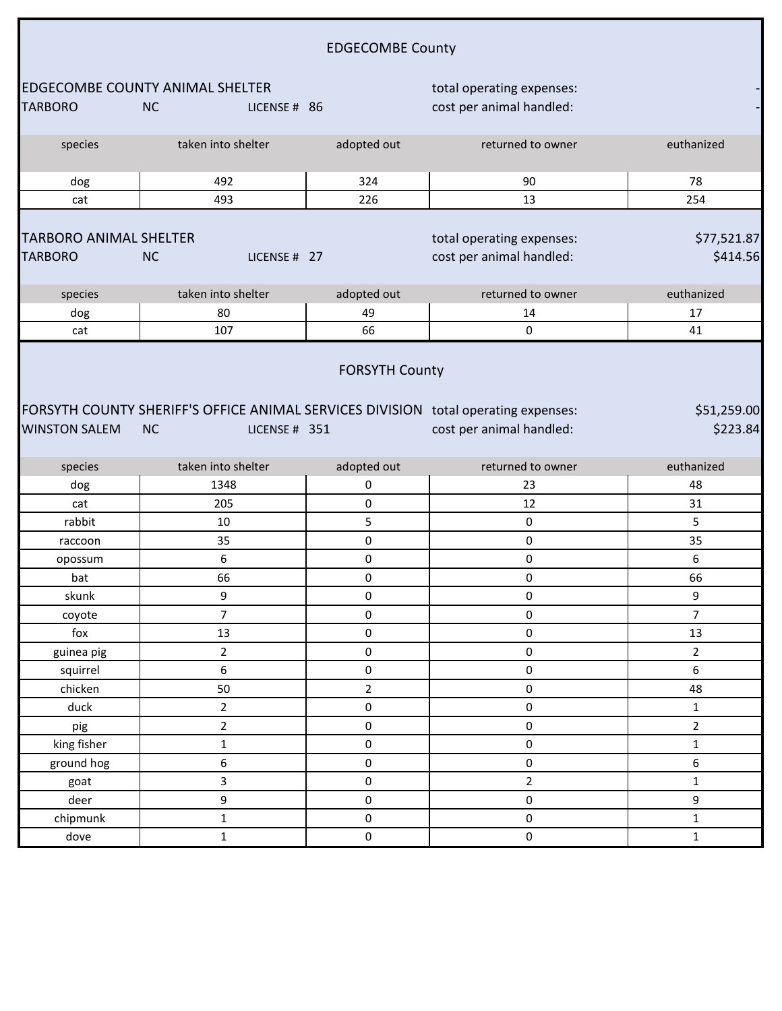|                                                 |                                                                                                                  | <b>EDGECOMBE County</b> |                                                       |                         |
|-------------------------------------------------|------------------------------------------------------------------------------------------------------------------|-------------------------|-------------------------------------------------------|-------------------------|
| <b>TARBORO</b>                                  | <b>EDGECOMBE COUNTY ANIMAL SHELTER</b><br><b>NC</b><br>LICENSE # 86                                              |                         | total operating expenses:<br>cost per animal handled: |                         |
| species                                         | taken into shelter                                                                                               | adopted out             | returned to owner                                     | euthanized              |
| dog                                             | 492                                                                                                              | 324                     | 90                                                    | 78                      |
| cat                                             | 493                                                                                                              | 226                     | 13                                                    | 254                     |
| <b>TARBORO ANIMAL SHELTER</b><br><b>TARBORO</b> | <b>NC</b><br>LICENSE # 27                                                                                        |                         | total operating expenses:<br>cost per animal handled: | \$77,521.87<br>\$414.56 |
| species                                         | taken into shelter                                                                                               | adopted out             | returned to owner                                     | euthanized              |
| dog                                             | 80                                                                                                               | 49                      | 14                                                    | 17                      |
| cat                                             | 107                                                                                                              | 66                      | 0                                                     | 41                      |
| <b>WINSTON SALEM</b>                            | FORSYTH COUNTY SHERIFF'S OFFICE ANIMAL SERVICES DIVISION total operating expenses:<br><b>NC</b><br>LICENSE # 351 |                         | cost per animal handled:                              | \$51,259.00<br>\$223.84 |
| species                                         | taken into shelter                                                                                               | adopted out             | returned to owner                                     | euthanized              |
| dog                                             | 1348                                                                                                             | 0                       | 23                                                    | 48                      |
| cat                                             | 205                                                                                                              | 0                       | 12                                                    | 31                      |
| rabbit                                          | 10                                                                                                               | 5                       | 0                                                     | 5                       |
| raccoon                                         | 35                                                                                                               | 0                       | 0                                                     | 35                      |
| opossum                                         | 6                                                                                                                | 0                       | 0                                                     | 6                       |
| bat                                             | 66                                                                                                               | 0                       | 0                                                     | 66                      |
| skunk                                           | 9                                                                                                                | 0                       | 0                                                     | 9                       |
| coyote                                          | $\overline{7}$                                                                                                   | 0                       | 0                                                     | $\overline{7}$          |
| fox                                             | 13                                                                                                               | $\pmb{0}$               | $\mathsf{O}\xspace$                                   | 13                      |
| guinea pig                                      | $\overline{a}$                                                                                                   | $\pmb{0}$               | $\pmb{0}$                                             | $\overline{2}$          |
| squirrel                                        | 6                                                                                                                | 0                       | 0                                                     | 6                       |
| chicken                                         | 50                                                                                                               | $\overline{2}$          | $\pmb{0}$                                             | 48                      |
| duck                                            | $\overline{2}$                                                                                                   | 0                       | $\pmb{0}$                                             | $\mathbf{1}$            |
| pig                                             | $\overline{2}$                                                                                                   | $\pmb{0}$               | $\pmb{0}$                                             | $\overline{2}$          |
| king fisher                                     | $\mathbf{1}$                                                                                                     | $\mathsf{O}\xspace$     | $\pmb{0}$                                             | $\mathbf{1}$            |
| ground hog                                      | 6                                                                                                                | $\pmb{0}$               | $\mathsf{O}\xspace$                                   | $\boldsymbol{6}$        |
| goat                                            | 3                                                                                                                | 0                       | $\overline{2}$                                        | $\mathbf{1}$            |
| deer                                            | 9                                                                                                                | 0                       | 0                                                     | 9                       |
| chipmunk                                        | $\mathbf{1}$                                                                                                     | $\mathsf 0$             | $\pmb{0}$                                             | $\mathbf{1}$            |
| dove                                            | $\mathbf{1}$                                                                                                     | $\pmb{0}$               | $\mathsf{O}\xspace$                                   | $\mathbf{1}$            |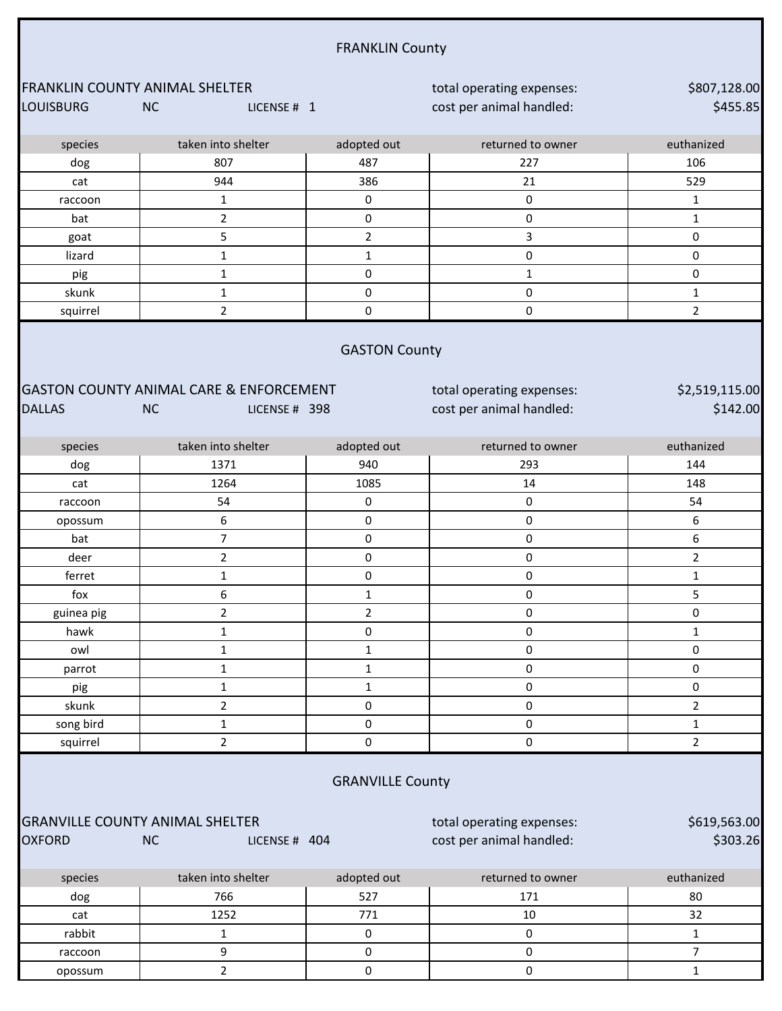|                       |                                                                                  | <b>FRANKLIN County</b>  |                                                       |                                |
|-----------------------|----------------------------------------------------------------------------------|-------------------------|-------------------------------------------------------|--------------------------------|
| <b>LOUISBURG</b>      | FRANKLIN COUNTY ANIMAL SHELTER<br><b>NC</b><br>LICENSE # 1                       |                         | total operating expenses:<br>cost per animal handled: | \$807,128.00<br>\$455.85       |
| species               | taken into shelter                                                               | adopted out             | returned to owner                                     | euthanized                     |
| dog                   | 807                                                                              | 487                     | 227                                                   | 106                            |
| cat                   | 944                                                                              | 386                     | 21                                                    | 529                            |
| raccoon               | $\mathbf{1}$                                                                     | 0                       | 0                                                     | $\mathbf{1}$                   |
| bat                   | $\overline{2}$                                                                   | 0                       | 0                                                     | 1                              |
| goat                  | 5                                                                                | $\overline{2}$          | 3                                                     | 0                              |
| lizard                | $\mathbf 1$                                                                      | $\mathbf{1}$            | 0                                                     | 0                              |
| pig                   | $\mathbf 1$                                                                      | $\pmb{0}$               | $\mathbf 1$                                           | 0                              |
| skunk                 | $\mathbf{1}$                                                                     | $\pmb{0}$               | 0                                                     | $\mathbf{1}$                   |
| squirrel              | $\overline{2}$                                                                   | 0                       | 0                                                     | $\overline{2}$                 |
| <b>DALLAS</b>         | <b>GASTON COUNTY ANIMAL CARE &amp; ENFORCEMENT</b><br><b>NC</b><br>LICENSE # 398 |                         | total operating expenses:<br>cost per animal handled: | \$2,519,115.00<br>\$142.00     |
| species               | taken into shelter                                                               | adopted out             | returned to owner                                     | euthanized                     |
| dog                   | 1371                                                                             | 940                     | 293                                                   | 144                            |
| cat                   | 1264                                                                             | 1085                    | 14                                                    | 148                            |
| raccoon               | 54                                                                               | 0                       | 0                                                     | 54                             |
| opossum               | 6                                                                                | 0                       | 0                                                     | 6                              |
| bat                   | $\overline{7}$                                                                   | $\pmb{0}$               | 0                                                     | 6                              |
| deer                  | $\overline{2}$                                                                   | $\pmb{0}$               | 0                                                     | $\overline{2}$                 |
| ferret                | $\mathbf{1}$                                                                     | 0                       | 0                                                     | $\mathbf{1}$                   |
| fox                   | 6                                                                                | $\mathbf{1}$            | 0                                                     | 5                              |
| guinea pig            | $\overline{2}$                                                                   | $\overline{2}$          | 0                                                     | 0                              |
| hawk                  | $\mathbf 1$                                                                      | 0                       | 0                                                     | $\mathbf{1}$                   |
| owl                   | $\mathbf 1$                                                                      | $\mathbf{1}$            | 0                                                     | 0                              |
| parrot                | $\mathbf{1}$                                                                     | $\mathbf{1}$            | 0                                                     | 0                              |
| pig                   | $\mathbf 1$                                                                      | $\mathbf{1}$            | 0                                                     | 0                              |
| skunk                 | $\overline{2}$                                                                   | $\pmb{0}$               | 0<br>$\mathsf{O}\xspace$                              | $\overline{2}$                 |
| song bird<br>squirrel | $\mathbf{1}$<br>$\overline{2}$                                                   | 0<br>0                  | 0                                                     | $\mathbf{1}$<br>$\overline{2}$ |
| <b>OXFORD</b>         | <b>GRANVILLE COUNTY ANIMAL SHELTER</b><br><b>NC</b><br>LICENSE # 404             | <b>GRANVILLE County</b> | total operating expenses:<br>cost per animal handled: | \$619,563.00<br>\$303.26       |
|                       |                                                                                  |                         |                                                       |                                |
| species               | taken into shelter                                                               | adopted out             | returned to owner                                     | euthanized                     |
| dog                   | 766<br>1252                                                                      | 527<br>771              | 171<br>10                                             | 80<br>32                       |
| cat<br>rabbit         | $\mathbf 1$                                                                      | 0                       | $\mathsf{O}\xspace$                                   | $\mathbf{1}$                   |
| raccoon               | $\mathsf g$                                                                      | $\mathsf 0$             | $\mathsf{O}\xspace$                                   | $\overline{7}$                 |
| opossum               | $\overline{2}$                                                                   | $\pmb{0}$               | $\pmb{0}$                                             | $\mathbf{1}$                   |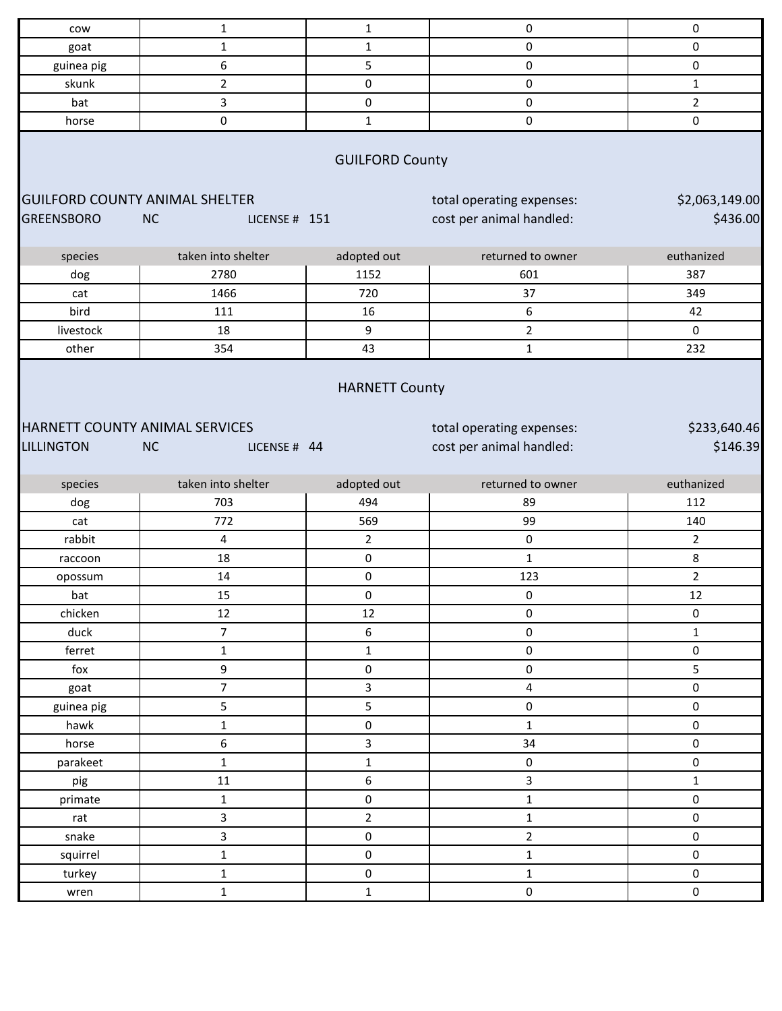| cow                                                                | $\mathbf{1}$                                         | $\mathbf{1}$           | 0                                                     | $\pmb{0}$                |
|--------------------------------------------------------------------|------------------------------------------------------|------------------------|-------------------------------------------------------|--------------------------|
| goat                                                               | $\mathbf{1}$                                         | $\mathbf{1}$           | 0                                                     | $\pmb{0}$                |
| guinea pig                                                         | 6                                                    | 5                      | 0                                                     | $\pmb{0}$                |
| skunk                                                              | $\overline{2}$                                       | $\pmb{0}$              | 0                                                     | $\mathbf{1}$             |
| bat                                                                | 3                                                    | 0                      | 0                                                     | $\overline{2}$           |
| horse                                                              | $\pmb{0}$                                            | $\mathbf{1}$           | 0                                                     | $\pmb{0}$                |
|                                                                    |                                                      | <b>GUILFORD County</b> |                                                       |                          |
| <b>GUILFORD COUNTY ANIMAL SHELTER</b><br>total operating expenses: |                                                      |                        |                                                       | \$2,063,149.00           |
| <b>GREENSBORO</b>                                                  | <b>NC</b><br>LICENSE # 151                           |                        | cost per animal handled:                              | \$436.00                 |
| species                                                            | taken into shelter                                   | adopted out            | returned to owner                                     | euthanized               |
| dog                                                                | 2780                                                 | 1152                   | 601                                                   | 387                      |
| cat                                                                | 1466                                                 | 720                    | 37                                                    | 349                      |
| bird                                                               | 111                                                  | 16                     | 6                                                     | 42                       |
| livestock                                                          | 18                                                   | $\boldsymbol{9}$       | $\overline{2}$                                        | $\mathbf 0$              |
| other                                                              | 354                                                  | 43                     | $\mathbf{1}$                                          | 232                      |
|                                                                    |                                                      | <b>HARNETT County</b>  |                                                       |                          |
| <b>LILLINGTON</b>                                                  | HARNETT COUNTY ANIMAL SERVICES<br>NC<br>LICENSE # 44 |                        | total operating expenses:<br>cost per animal handled: | \$233,640.46<br>\$146.39 |
| species                                                            | taken into shelter                                   | adopted out            | returned to owner                                     | euthanized               |
| dog                                                                | 703                                                  | 494                    | 89                                                    | 112                      |
| cat                                                                | 772                                                  | 569                    | 99                                                    | 140                      |
| rabbit                                                             | $\overline{4}$                                       | $\overline{2}$         | 0                                                     | $\overline{2}$           |
| raccoon                                                            | 18                                                   | $\pmb{0}$              | $\mathbf{1}$                                          | $\bf 8$                  |
| opossum                                                            | 14                                                   | 0                      | 123                                                   | $\overline{2}$           |
| bat                                                                | 15                                                   | $\pmb{0}$              | 0                                                     | $12\,$                   |
| chicken                                                            | 12                                                   | 12                     | 0                                                     | $\mathsf{O}\xspace$      |
| duck                                                               | $\overline{7}$                                       | $\boldsymbol{6}$       | 0                                                     | $\mathbf{1}$             |
| ferret                                                             | $\mathbf{1}$                                         | $\mathbf{1}$           | 0                                                     | $\pmb{0}$                |
| fox                                                                | 9                                                    | $\pmb{0}$              | 0                                                     | 5                        |
| goat                                                               | $\overline{7}$                                       | $\mathbf{3}$           | 4                                                     | $\pmb{0}$                |
| guinea pig                                                         | 5                                                    | 5                      | 0                                                     | $\pmb{0}$                |
| hawk                                                               | $\mathbf{1}$                                         | $\pmb{0}$              | $\mathbf 1$                                           | $\pmb{0}$                |
| horse                                                              | $\boldsymbol{6}$                                     | 3                      | 34                                                    | $\pmb{0}$                |
| parakeet                                                           | $\mathbf{1}$                                         | $\mathbf{1}$           | 0                                                     | $\pmb{0}$                |
| pig                                                                | 11                                                   | 6                      | 3                                                     | $\mathbf 1$              |
| primate                                                            | $\mathbf{1}$                                         | 0                      | $\mathbf 1$                                           | $\pmb{0}$                |
| rat                                                                | 3                                                    | $\overline{a}$         | $\mathbf{1}$                                          | $\pmb{0}$                |
| snake                                                              | 3                                                    | $\pmb{0}$              | $\overline{2}$                                        | $\pmb{0}$                |
| squirrel                                                           | $\mathbf{1}$                                         | $\pmb{0}$              | $\mathbf 1$                                           | $\mathsf{O}\xspace$      |
| turkey                                                             | $\mathbf{1}$                                         | $\mathsf{O}\xspace$    | $\mathbf 1$<br>0                                      | $\pmb{0}$<br>$\pmb{0}$   |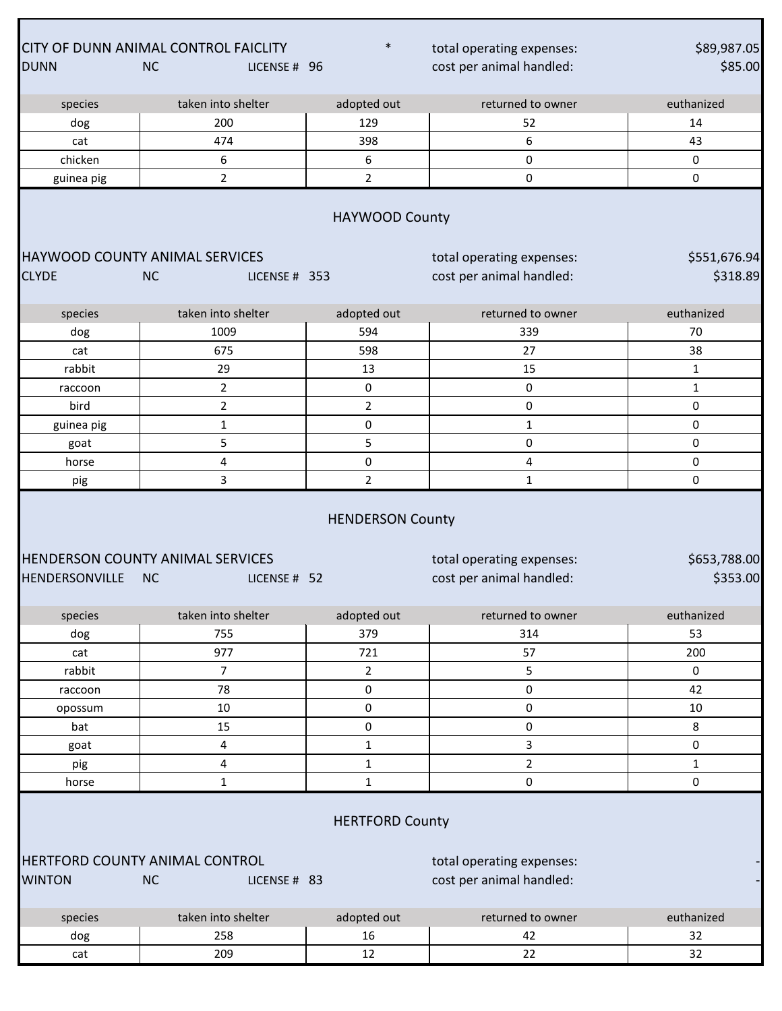| <b>DUNN</b>                                                                                                                                                     | CITY OF DUNN ANIMAL CONTROL FAICLITY<br><b>NC</b><br>LICENSE # 96 | $\ast$                  | total operating expenses:<br>cost per animal handled: | \$89,987.05<br>\$85.00   |
|-----------------------------------------------------------------------------------------------------------------------------------------------------------------|-------------------------------------------------------------------|-------------------------|-------------------------------------------------------|--------------------------|
| species                                                                                                                                                         | taken into shelter                                                | adopted out             | returned to owner                                     | euthanized               |
| dog                                                                                                                                                             | 200                                                               | 129                     | 52                                                    | 14                       |
| cat                                                                                                                                                             | 474                                                               | 398                     | 6                                                     | 43                       |
| chicken                                                                                                                                                         | 6                                                                 | 6                       | $\pmb{0}$                                             | 0                        |
| guinea pig                                                                                                                                                      | $\overline{2}$                                                    | $\overline{2}$          | 0                                                     | 0                        |
| <b>CLYDE</b>                                                                                                                                                    | HAYWOOD COUNTY ANIMAL SERVICES<br><b>NC</b><br>LICENSE # 353      | HAYWOOD County          | total operating expenses:<br>cost per animal handled: | \$551,676.94<br>\$318.89 |
| species                                                                                                                                                         | taken into shelter                                                | adopted out             | returned to owner                                     | euthanized               |
| dog                                                                                                                                                             | 1009                                                              | 594                     | 339                                                   | 70                       |
| cat                                                                                                                                                             | 675                                                               | 598                     | 27                                                    | 38                       |
| rabbit                                                                                                                                                          | 29                                                                | 13                      | 15                                                    | $\mathbf{1}$             |
| raccoon                                                                                                                                                         | $\overline{2}$                                                    | 0                       | $\pmb{0}$                                             | 1                        |
| bird                                                                                                                                                            | $\overline{2}$                                                    | $\overline{2}$          | 0                                                     | 0                        |
| guinea pig                                                                                                                                                      | $\mathbf{1}$                                                      | $\pmb{0}$               | $\mathbf{1}$                                          | 0                        |
| goat                                                                                                                                                            | 5                                                                 | 5                       | 0                                                     | 0                        |
| horse                                                                                                                                                           | 4                                                                 | 0                       | 4                                                     | 0                        |
| pig                                                                                                                                                             | 3                                                                 | $\overline{2}$          | $\mathbf{1}$                                          | 0                        |
| <b>HENDERSONVILLE</b>                                                                                                                                           | HENDERSON COUNTY ANIMAL SERVICES<br><b>NC</b><br>LICENSE # 52     | <b>HENDERSON County</b> | total operating expenses:<br>cost per animal handled: | \$653,788.00<br>\$353.00 |
| species                                                                                                                                                         | taken into shelter                                                | adopted out             | returned to owner                                     | euthanized               |
| dog                                                                                                                                                             | 755                                                               | 379                     | 314                                                   | 53                       |
| cat                                                                                                                                                             | 977                                                               | 721                     | 57                                                    | 200                      |
| rabbit                                                                                                                                                          | $\overline{7}$                                                    | $\overline{2}$          | 5                                                     | $\mathbf 0$              |
| raccoon                                                                                                                                                         | 78                                                                | $\pmb{0}$               | $\pmb{0}$                                             | 42                       |
| opossum                                                                                                                                                         | 10                                                                | $\pmb{0}$               | $\pmb{0}$                                             | 10                       |
| bat                                                                                                                                                             | 15                                                                | $\mathsf 0$             | $\pmb{0}$                                             | 8                        |
| goat                                                                                                                                                            | 4                                                                 | $\mathbf{1}$            | 3                                                     | 0                        |
| pig                                                                                                                                                             | 4                                                                 | $\mathbf 1$             | $\overline{2}$                                        | $\mathbf{1}$             |
| horse                                                                                                                                                           | $\mathbf{1}$                                                      | $\mathbf{1}$            | $\pmb{0}$                                             | 0                        |
| <b>HERTFORD County</b><br>HERTFORD COUNTY ANIMAL CONTROL<br>total operating expenses:<br><b>NC</b><br>cost per animal handled:<br><b>WINTON</b><br>LICENSE # 83 |                                                                   |                         |                                                       |                          |
| species                                                                                                                                                         | taken into shelter                                                | adopted out             | returned to owner                                     | euthanized               |
| dog                                                                                                                                                             | 258                                                               | 16                      | 42                                                    | 32                       |
| cat                                                                                                                                                             | 209                                                               | 12                      | 22                                                    | 32                       |
|                                                                                                                                                                 |                                                                   |                         |                                                       |                          |

П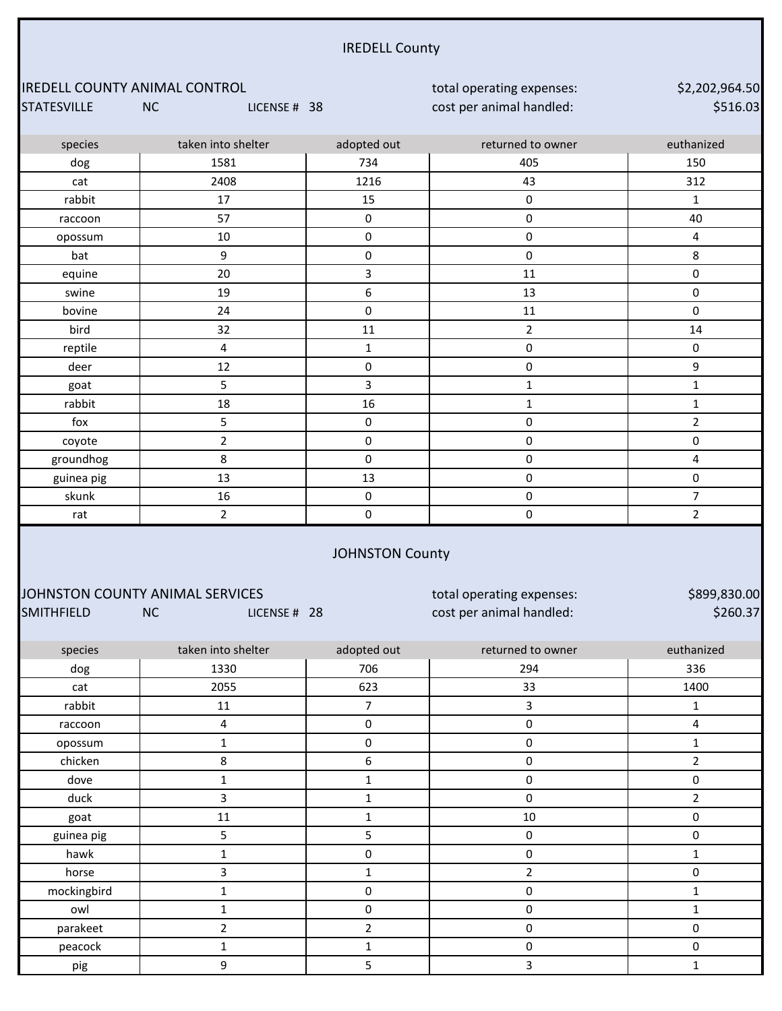|                                                            |                                                       | <b>IREDELL County</b>  |                                                       |                            |
|------------------------------------------------------------|-------------------------------------------------------|------------------------|-------------------------------------------------------|----------------------------|
| <b>IREDELL COUNTY ANIMAL CONTROL</b><br><b>STATESVILLE</b> | <b>NC</b><br>LICENSE # 38                             |                        | total operating expenses:<br>cost per animal handled: | \$2,202,964.50<br>\$516.03 |
| species                                                    | taken into shelter                                    | adopted out            | returned to owner                                     | euthanized                 |
| dog                                                        | 1581                                                  | 734                    | 405                                                   | 150                        |
| cat                                                        | 2408                                                  | 1216                   | 43                                                    | 312                        |
| rabbit                                                     | 17                                                    | 15                     | $\mathbf 0$                                           | $\mathbf{1}$               |
| raccoon                                                    | 57                                                    | 0                      | 0                                                     | 40                         |
| opossum                                                    | 10                                                    | $\pmb{0}$              | $\mathsf{O}\xspace$                                   | $\overline{\mathbf{4}}$    |
| bat                                                        | 9                                                     | 0                      | 0                                                     | 8                          |
| equine                                                     | 20                                                    | 3                      | 11                                                    | $\pmb{0}$                  |
| swine                                                      | 19                                                    | 6                      | 13                                                    | $\pmb{0}$                  |
| bovine                                                     | 24                                                    | 0                      | 11                                                    | $\pmb{0}$                  |
| bird                                                       | 32                                                    | 11                     | $\overline{2}$                                        | 14                         |
| reptile                                                    | 4                                                     | $\mathbf{1}$           | 0                                                     | 0                          |
| deer                                                       | 12                                                    | 0                      | 0                                                     | 9                          |
| goat                                                       | 5                                                     | 3                      | $\mathbf{1}$                                          | $\mathbf{1}$               |
| rabbit                                                     | 18                                                    | 16                     | $\mathbf 1$                                           | $\mathbf{1}$               |
| fox                                                        | 5                                                     | $\pmb{0}$              | $\mathsf{O}\xspace$                                   | $\overline{a}$             |
| coyote                                                     | $\overline{2}$                                        | $\mathbf 0$            | $\mathbf 0$                                           | 0                          |
| groundhog                                                  | 8                                                     | $\pmb{0}$              | $\mathsf{O}\xspace$                                   | $\pmb{4}$                  |
| guinea pig                                                 | 13                                                    | 13                     | $\mathsf{O}\xspace$                                   | $\pmb{0}$                  |
| skunk                                                      | 16                                                    | $\pmb{0}$              | $\mathsf{O}\xspace$                                   | $\overline{7}$             |
| rat                                                        | $\overline{2}$                                        | $\mathbf 0$            | $\mathbf 0$                                           | $\overline{2}$             |
| <b>SMITHFIELD</b>                                          | JOHNSTON COUNTY ANIMAL SERVICES<br>NC<br>LICENSE # 28 | <b>JOHNSTON County</b> | total operating expenses:<br>cost per animal handled: | \$899,830.00<br>\$260.37   |
| species                                                    | taken into shelter                                    | adopted out            | returned to owner                                     | euthanized                 |
| dog                                                        | 1330                                                  | 706                    | 294                                                   | 336                        |
| cat                                                        | 2055                                                  | 623                    | 33                                                    | 1400                       |
| rabbit                                                     | 11                                                    | $\overline{7}$         | $\mathsf{3}$                                          | $\mathbf 1$                |
| raccoon                                                    | 4                                                     | $\pmb{0}$              | $\mathsf{O}\xspace$                                   | 4                          |
| opossum                                                    | $\mathbf{1}$                                          | $\pmb{0}$              | $\pmb{0}$                                             | $\mathbf 1$                |
| chicken                                                    | 8                                                     | 6                      | $\pmb{0}$                                             | $\overline{2}$             |
| dove                                                       | $\mathbf{1}$                                          | $\mathbf 1$            | $\pmb{0}$                                             | $\pmb{0}$                  |
| duck                                                       | 3                                                     | $\mathbf 1$            | $\mathsf{O}\xspace$                                   | $\overline{a}$             |
| goat                                                       | $11\,$                                                | $\mathbf{1}$           | $10\,$                                                | $\pmb{0}$                  |
| guinea pig                                                 | 5                                                     | 5                      | $\mathbf 0$                                           | $\mathsf{O}\xspace$        |
| hawk                                                       | $\mathbf{1}$                                          | $\pmb{0}$              | $\pmb{0}$                                             | $\mathbf{1}$               |
| horse                                                      | 3                                                     | $\mathbf 1$            | $\overline{2}$                                        | $\mathbf 0$                |
| mockingbird                                                | $\mathbf{1}$                                          | $\pmb{0}$              | $\pmb{0}$                                             | $\mathbf{1}$               |
| owl                                                        | $\mathbf{1}$                                          | $\pmb{0}$              | $\pmb{0}$                                             | $\mathbf{1}$               |
| parakeet                                                   | $\overline{2}$                                        | $\mathbf 2$            | $\pmb{0}$                                             | $\mathsf{O}\xspace$        |
| peacock                                                    | $\mathbf{1}$                                          | $\mathbf 1$            | $\mathsf 0$                                           | $\pmb{0}$                  |
| pig                                                        | 9                                                     | 5                      | $\overline{\mathbf{3}}$                               | $\mathbf{1}$               |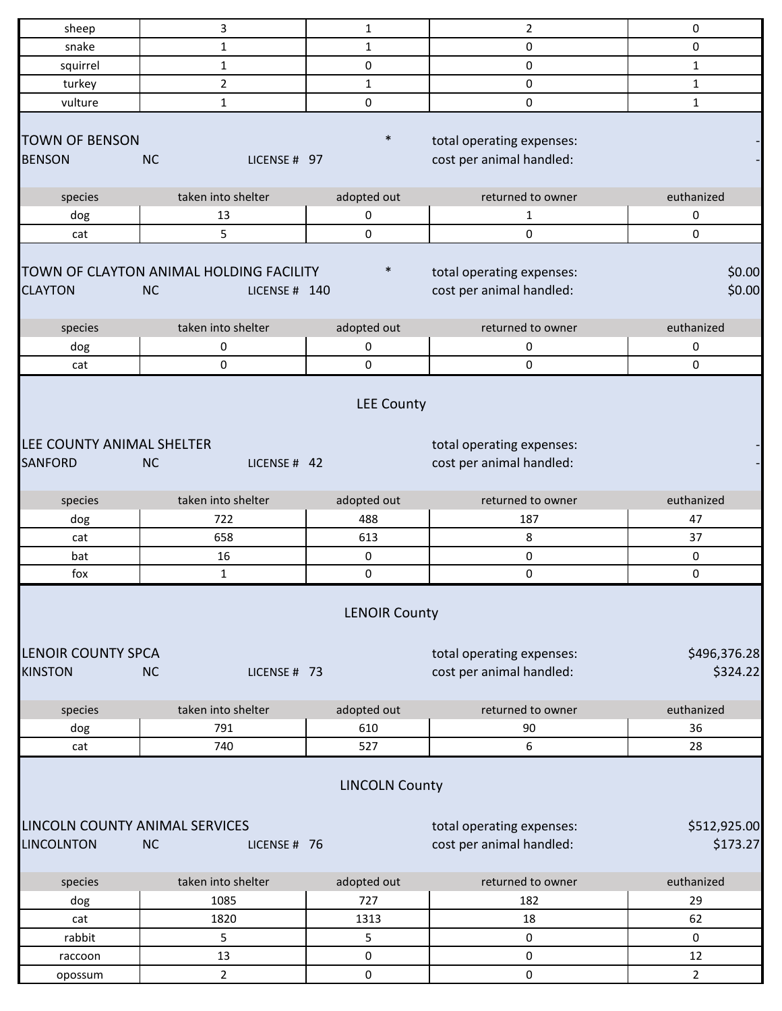| sheep                                       | 3                                                                     | $\mathbf{1}$          | 2                                                     | 0                        |
|---------------------------------------------|-----------------------------------------------------------------------|-----------------------|-------------------------------------------------------|--------------------------|
| snake                                       | $\mathbf 1$                                                           | $\mathbf{1}$          | 0                                                     | 0                        |
| squirrel                                    | $\mathbf{1}$                                                          | 0                     | 0                                                     | $\mathbf{1}$             |
| turkey                                      | $\overline{2}$                                                        | $\mathbf{1}$          | $\pmb{0}$                                             | $\mathbf{1}$             |
| vulture                                     | $\mathbf{1}$                                                          | 0                     | 0                                                     | $\mathbf{1}$             |
| <b>TOWN OF BENSON</b><br><b>BENSON</b>      | <b>NC</b><br>LICENSE # 97                                             | $\ast$                | total operating expenses:<br>cost per animal handled: |                          |
| species                                     | taken into shelter                                                    | adopted out           | returned to owner                                     | euthanized               |
| dog                                         | 13                                                                    | 0                     | 1                                                     | 0                        |
| cat                                         | 5                                                                     | 0                     | 0                                                     | 0                        |
| <b>CLAYTON</b>                              | TOWN OF CLAYTON ANIMAL HOLDING FACILITY<br><b>NC</b><br>LICENSE # 140 | $\ast$                | total operating expenses:<br>cost per animal handled: | \$0.00<br>\$0.00         |
| species                                     | taken into shelter                                                    | adopted out           | returned to owner                                     | euthanized               |
| dog                                         | 0                                                                     | 0                     | 0                                                     | 0                        |
| cat                                         | 0                                                                     | 0                     | 0                                                     | 0                        |
| LEE COUNTY ANIMAL SHELTER<br><b>SANFORD</b> | <b>NC</b><br>LICENSE # 42                                             | <b>LEE County</b>     | total operating expenses:<br>cost per animal handled: |                          |
| species                                     | taken into shelter                                                    | adopted out           | returned to owner                                     | euthanized               |
| dog                                         | 722                                                                   | 488                   | 187                                                   | 47                       |
| cat                                         | 658                                                                   | 613                   | 8                                                     | 37                       |
| bat<br>fox                                  | 16                                                                    | 0<br>0                | 0                                                     | 0<br>$\pmb{0}$           |
|                                             | $\mathbf{1}$                                                          | <b>LENOIR County</b>  | 0                                                     |                          |
| <b>LENOIR COUNTY SPCA</b><br><b>KINSTON</b> | <b>NC</b><br>LICENSE # 73                                             |                       | total operating expenses:<br>cost per animal handled: | \$496,376.28<br>\$324.22 |
| species                                     | taken into shelter                                                    | adopted out           | returned to owner                                     | euthanized               |
| dog                                         | 791                                                                   | 610                   | 90                                                    | 36                       |
| cat                                         | 740                                                                   | 527                   | 6                                                     | 28                       |
| <b>LINCOLNTON</b>                           | LINCOLN COUNTY ANIMAL SERVICES<br><b>NC</b><br>LICENSE # 76           | <b>LINCOLN County</b> | total operating expenses:<br>cost per animal handled: | \$512,925.00<br>\$173.27 |
|                                             |                                                                       |                       |                                                       |                          |
| species                                     | taken into shelter                                                    | adopted out           | returned to owner                                     | euthanized               |
| dog                                         | 1085                                                                  | 727                   | 182                                                   | 29                       |
| cat                                         | 1820                                                                  | 1313                  | 18                                                    | 62                       |
| rabbit                                      | 5                                                                     | 5                     | $\pmb{0}$                                             | 0                        |
| raccoon                                     | 13                                                                    | 0                     | $\pmb{0}$                                             | 12                       |
| opossum                                     | $\overline{2}$                                                        | 0                     | 0                                                     | $\overline{2}$           |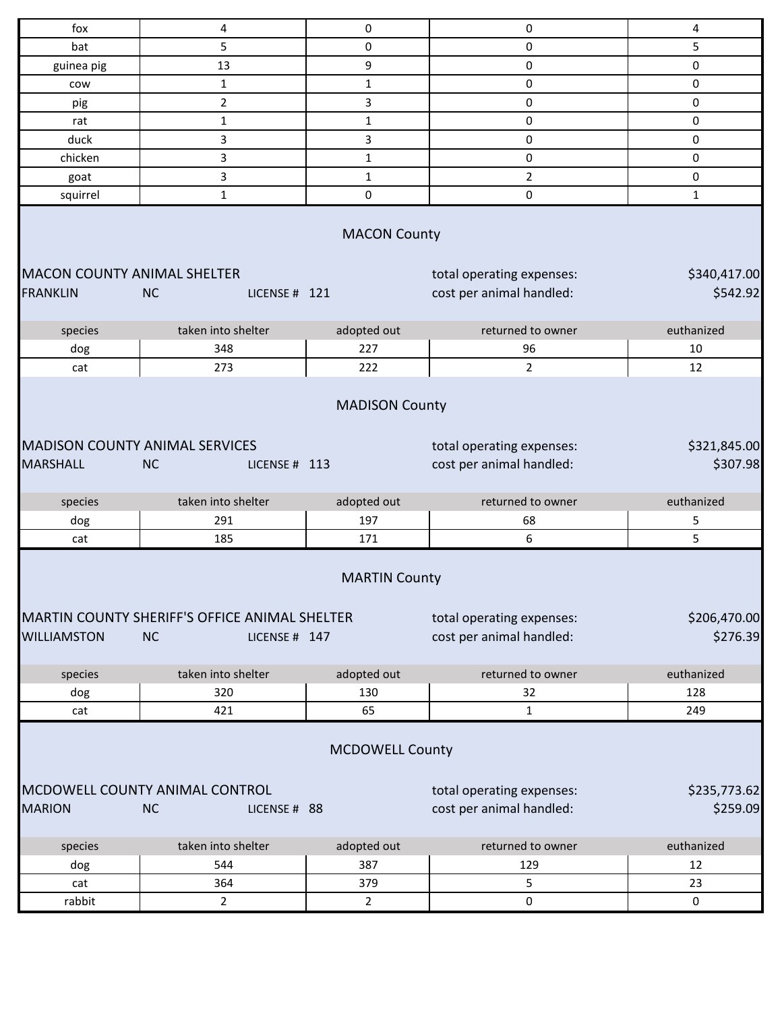| fox                                                                                                                                                                                                            | 4                          | 0              | 0                         | 4                        |  |
|----------------------------------------------------------------------------------------------------------------------------------------------------------------------------------------------------------------|----------------------------|----------------|---------------------------|--------------------------|--|
| bat                                                                                                                                                                                                            | 5                          | 0              | 0                         | 5                        |  |
| guinea pig                                                                                                                                                                                                     | 13                         | 9              | 0                         | 0                        |  |
| cow                                                                                                                                                                                                            | $\mathbf{1}$               | $\mathbf{1}$   | 0                         | $\mathsf{O}\xspace$      |  |
| pig                                                                                                                                                                                                            | $\overline{2}$             | 3              | 0                         | 0                        |  |
| rat                                                                                                                                                                                                            | $\mathbf{1}$               | $\mathbf{1}$   | 0                         | $\pmb{0}$                |  |
| duck                                                                                                                                                                                                           | 3                          | 3              | 0                         | $\mathsf{O}\xspace$      |  |
| chicken                                                                                                                                                                                                        | 3                          | $\mathbf{1}$   | 0                         | $\pmb{0}$                |  |
| goat                                                                                                                                                                                                           | 3                          | $\mathbf{1}$   | $\overline{2}$            | 0                        |  |
| squirrel                                                                                                                                                                                                       | $\mathbf{1}$               | 0              | 0                         | $\mathbf{1}$             |  |
| <b>MACON County</b>                                                                                                                                                                                            |                            |                |                           |                          |  |
| <b>MACON COUNTY ANIMAL SHELTER</b>                                                                                                                                                                             |                            |                | total operating expenses: | \$340,417.00             |  |
| <b>FRANKLIN</b>                                                                                                                                                                                                | <b>NC</b><br>LICENSE # 121 |                | cost per animal handled:  | \$542.92                 |  |
|                                                                                                                                                                                                                |                            |                |                           |                          |  |
| species                                                                                                                                                                                                        | taken into shelter         | adopted out    | returned to owner         | euthanized               |  |
| dog                                                                                                                                                                                                            | 348                        | 227            | 96                        | 10                       |  |
| cat                                                                                                                                                                                                            | 273                        | 222            | $\overline{2}$            | 12                       |  |
| <b>MADISON County</b><br><b>MADISON COUNTY ANIMAL SERVICES</b><br>total operating expenses:<br><b>MARSHALL</b><br>cost per animal handled:<br><b>NC</b><br>LICENSE # 113                                       |                            |                |                           | \$321,845.00<br>\$307.98 |  |
| species                                                                                                                                                                                                        | taken into shelter         | adopted out    | returned to owner         | euthanized               |  |
| dog                                                                                                                                                                                                            | 291                        | 197            | 68                        | 5                        |  |
| cat                                                                                                                                                                                                            | 185                        | 171            | 6                         | 5                        |  |
| <b>MARTIN County</b><br>MARTIN COUNTY SHERIFF'S OFFICE ANIMAL SHELTER<br>\$206,470.00<br>total operating expenses:<br>cost per animal handled:<br>\$276.39<br><b>NC</b><br><b>WILLIAMSTON</b><br>LICENSE # 147 |                            |                |                           |                          |  |
| species                                                                                                                                                                                                        | taken into shelter         | adopted out    | returned to owner         | euthanized               |  |
| dog                                                                                                                                                                                                            | 320                        | 130            | 32                        | 128                      |  |
| cat                                                                                                                                                                                                            | 421                        | 65             | $\mathbf{1}$              | 249                      |  |
| <b>MCDOWELL County</b><br>MCDOWELL COUNTY ANIMAL CONTROL<br>total operating expenses:<br>\$235,773.62<br>\$259.09<br>cost per animal handled:<br><b>MARION</b><br><b>NC</b><br>LICENSE # 88                    |                            |                |                           |                          |  |
| species                                                                                                                                                                                                        | taken into shelter         | adopted out    | returned to owner         | euthanized               |  |
| dog                                                                                                                                                                                                            | 544                        | 387            | 129                       | 12                       |  |
| cat                                                                                                                                                                                                            | 364                        | 379            | 5                         | 23                       |  |
| rabbit                                                                                                                                                                                                         | $\overline{2}$             | $\overline{2}$ | $\pmb{0}$                 | $\pmb{0}$                |  |
|                                                                                                                                                                                                                |                            |                |                           |                          |  |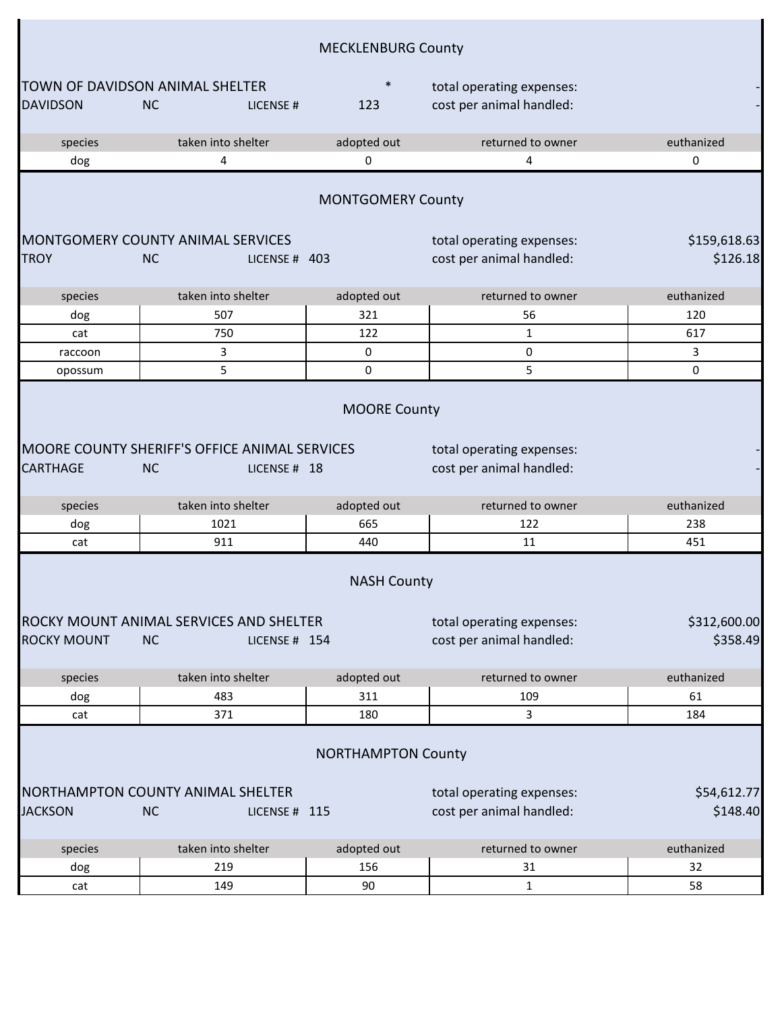|                           | <b>MECKLENBURG County</b>                                             |                          |                                                       |                          |  |
|---------------------------|-----------------------------------------------------------------------|--------------------------|-------------------------------------------------------|--------------------------|--|
| <b>DAVIDSON</b>           | TOWN OF DAVIDSON ANIMAL SHELTER<br><b>NC</b><br>LICENSE#              | 123                      | total operating expenses:<br>cost per animal handled: |                          |  |
|                           |                                                                       |                          |                                                       |                          |  |
| species                   | taken into shelter                                                    | adopted out              | returned to owner                                     | euthanized               |  |
| dog                       | 4                                                                     | 0                        | 4                                                     | 0                        |  |
|                           |                                                                       | <b>MONTGOMERY County</b> |                                                       |                          |  |
| <b>TROY</b>               | MONTGOMERY COUNTY ANIMAL SERVICES<br><b>NC</b><br>LICENSE # 403       |                          | total operating expenses:<br>cost per animal handled: | \$159,618.63<br>\$126.18 |  |
| species                   | taken into shelter                                                    | adopted out              | returned to owner                                     | euthanized               |  |
| dog                       | 507                                                                   | 321                      | 56                                                    | 120                      |  |
| cat                       | 750                                                                   | 122                      | $\mathbf{1}$                                          | 617                      |  |
| raccoon                   | 3                                                                     | 0                        | $\mathsf{O}\xspace$                                   | 3                        |  |
| opossum                   | 5                                                                     | $\mathsf{O}\xspace$      | 5                                                     | 0                        |  |
|                           | MOORE COUNTY SHERIFF'S OFFICE ANIMAL SERVICES                         | <b>MOORE County</b>      | total operating expenses:                             |                          |  |
| <b>CARTHAGE</b>           | <b>NC</b><br>LICENSE # 18                                             |                          | cost per animal handled:                              |                          |  |
| species                   | taken into shelter                                                    | adopted out              | returned to owner                                     | euthanized               |  |
| dog                       | 1021                                                                  | 665                      | 122                                                   | 238                      |  |
| cat                       | 911                                                                   | 440                      | 11                                                    | 451                      |  |
|                           |                                                                       | <b>NASH County</b>       |                                                       |                          |  |
| <b>ROCKY MOUNT</b>        | ROCKY MOUNT ANIMAL SERVICES AND SHELTER<br><b>NC</b><br>LICENSE # 154 |                          | total operating expenses:<br>cost per animal handled: | \$312,600.00<br>\$358.49 |  |
| species                   | taken into shelter                                                    | adopted out              | returned to owner                                     | euthanized               |  |
| dog                       | 483                                                                   | 311                      | 109                                                   | 61                       |  |
| cat                       | 371                                                                   | 180                      | 3                                                     | 184                      |  |
| <b>NORTHAMPTON County</b> |                                                                       |                          |                                                       |                          |  |
| <b>JACKSON</b>            | NORTHAMPTON COUNTY ANIMAL SHELTER<br><b>NC</b><br>LICENSE # 115       |                          | total operating expenses:<br>cost per animal handled: | \$54,612.77<br>\$148.40  |  |
| species                   | taken into shelter                                                    | adopted out              | returned to owner                                     | euthanized               |  |
| dog                       | 219                                                                   | 156                      | 31                                                    | 32                       |  |
| cat                       | 149                                                                   | 90                       | $\mathbf{1}$                                          | 58                       |  |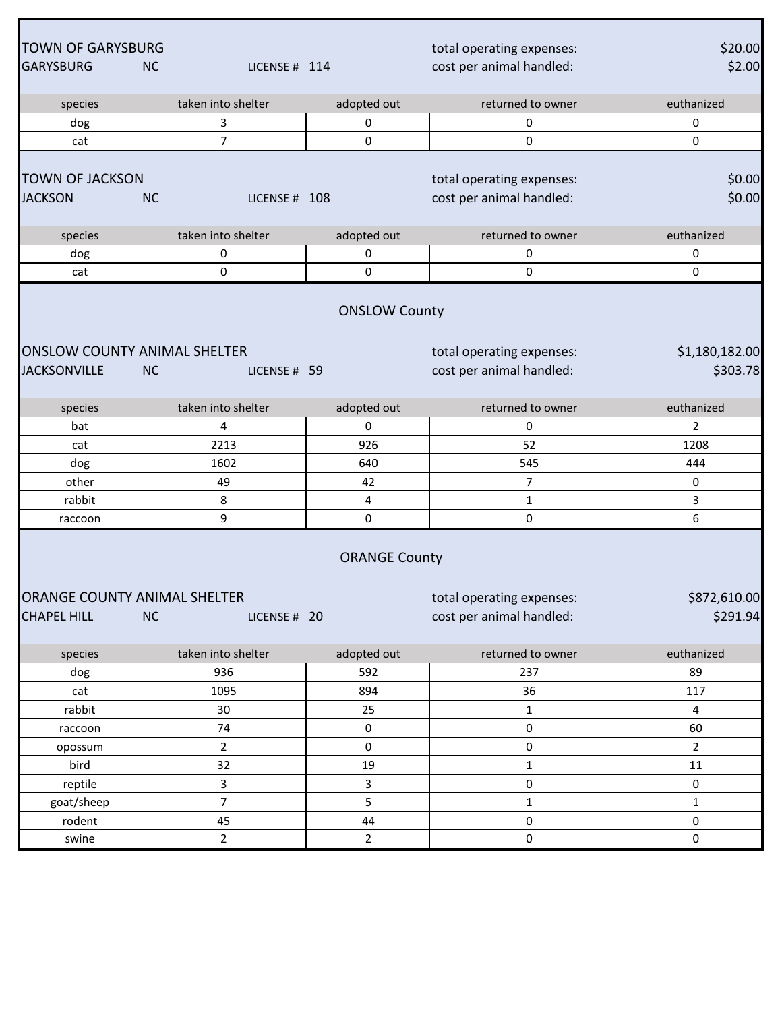| <b>TOWN OF GARYSBURG</b>                                                                                                                                                                               |                            |                | total operating expenses: | \$20.00        |  |
|--------------------------------------------------------------------------------------------------------------------------------------------------------------------------------------------------------|----------------------------|----------------|---------------------------|----------------|--|
| <b>GARYSBURG</b>                                                                                                                                                                                       | <b>NC</b><br>LICENSE # 114 |                | cost per animal handled:  | \$2.00         |  |
| species                                                                                                                                                                                                | taken into shelter         | adopted out    | returned to owner         | euthanized     |  |
| dog                                                                                                                                                                                                    | 3                          | 0              | 0                         | 0              |  |
| cat                                                                                                                                                                                                    | $\overline{7}$             | 0              | 0                         | 0              |  |
|                                                                                                                                                                                                        |                            |                |                           |                |  |
| <b>TOWN OF JACKSON</b>                                                                                                                                                                                 |                            |                | total operating expenses: | \$0.00         |  |
| <b>JACKSON</b>                                                                                                                                                                                         | <b>NC</b><br>LICENSE # 108 |                | cost per animal handled:  | \$0.00         |  |
|                                                                                                                                                                                                        |                            |                |                           |                |  |
| species                                                                                                                                                                                                | taken into shelter         | adopted out    | returned to owner         | euthanized     |  |
| dog                                                                                                                                                                                                    | 0                          | 0              | 0                         | 0              |  |
| cat                                                                                                                                                                                                    | $\mathsf 0$                | 0              | 0                         | $\mathbf 0$    |  |
| <b>ONSLOW County</b><br><b>ONSLOW COUNTY ANIMAL SHELTER</b><br>\$1,180,182.00<br>total operating expenses:<br>\$303.78<br><b>JACKSONVILLE</b><br>cost per animal handled:<br><b>NC</b><br>LICENSE # 59 |                            |                |                           |                |  |
| species                                                                                                                                                                                                | taken into shelter         | adopted out    | returned to owner         | euthanized     |  |
| bat                                                                                                                                                                                                    | 4                          | 0              | 0                         | 2              |  |
| cat                                                                                                                                                                                                    | 2213                       | 926            | 52                        | 1208           |  |
| dog                                                                                                                                                                                                    | 1602                       | 640            | 545                       | 444            |  |
| other                                                                                                                                                                                                  | 49                         | 42             | $\overline{7}$            | 0              |  |
| rabbit                                                                                                                                                                                                 | 8                          | $\overline{4}$ | $\mathbf 1$               | 3              |  |
| raccoon                                                                                                                                                                                                | 9                          | $\mathbf 0$    | $\mathbf 0$               | 6              |  |
| <b>ORANGE County</b><br>ORANGE COUNTY ANIMAL SHELTER<br>\$872,610.00<br>total operating expenses:<br>\$291.94<br><b>CHAPEL HILL</b><br><b>NC</b><br>cost per animal handled:<br>LICENSE # 20           |                            |                |                           |                |  |
| species                                                                                                                                                                                                | taken into shelter         | adopted out    | returned to owner         | euthanized     |  |
| dog                                                                                                                                                                                                    | 936                        | 592            | 237                       | 89             |  |
| cat                                                                                                                                                                                                    | 1095                       | 894            | 36                        | 117            |  |
| rabbit                                                                                                                                                                                                 | 30                         | 25             | $\mathbf{1}$              | 4              |  |
| raccoon                                                                                                                                                                                                | 74                         | $\mathbf 0$    | $\mathbf 0$               | 60             |  |
| opossum                                                                                                                                                                                                | $\overline{2}$             | $\pmb{0}$      | $\pmb{0}$                 | $\overline{2}$ |  |
| bird                                                                                                                                                                                                   | 32                         | 19             | $\mathbf{1}$              | $11\,$         |  |
| reptile                                                                                                                                                                                                | 3                          | 3              | $\pmb{0}$                 | $\pmb{0}$      |  |
| goat/sheep                                                                                                                                                                                             | $\overline{7}$             | 5              | $\mathbf{1}$              | $\mathbf{1}$   |  |
| rodent                                                                                                                                                                                                 | 45                         | 44             | $\mathbf 0$               | 0              |  |
| swine                                                                                                                                                                                                  | $\overline{2}$             | $\overline{2}$ | $\pmb{0}$                 | $\mathsf 0$    |  |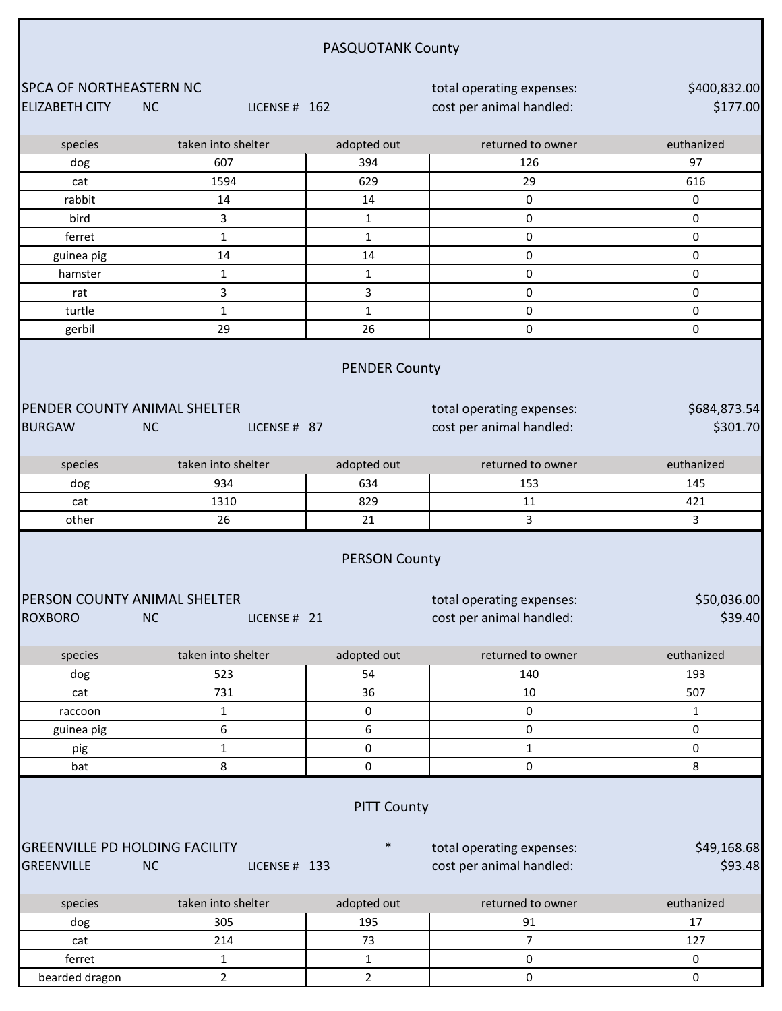|                                                |                                                                                                                                                                                        | PASQUOTANK County    |                                                       |                        |  |  |
|------------------------------------------------|----------------------------------------------------------------------------------------------------------------------------------------------------------------------------------------|----------------------|-------------------------------------------------------|------------------------|--|--|
|                                                |                                                                                                                                                                                        |                      |                                                       |                        |  |  |
| <b>SPCA OF NORTHEASTERN NC</b>                 |                                                                                                                                                                                        |                      | total operating expenses:                             | \$400,832.00           |  |  |
| <b>ELIZABETH CITY</b>                          | <b>NC</b><br>LICENSE # 162                                                                                                                                                             |                      | cost per animal handled:                              | \$177.00               |  |  |
| species                                        | taken into shelter                                                                                                                                                                     | adopted out          | returned to owner                                     | euthanized             |  |  |
| dog                                            | 607                                                                                                                                                                                    | 394                  | 126                                                   | 97                     |  |  |
| cat                                            | 1594                                                                                                                                                                                   | 629                  | 29                                                    | 616                    |  |  |
| rabbit                                         | 14                                                                                                                                                                                     | 14                   | 0                                                     | 0                      |  |  |
| bird                                           | 3                                                                                                                                                                                      | $\mathbf{1}$         | 0                                                     | 0                      |  |  |
| ferret                                         | $\mathbf{1}$                                                                                                                                                                           | $\mathbf{1}$         | 0                                                     | 0                      |  |  |
| guinea pig                                     | 14                                                                                                                                                                                     | 14                   | 0                                                     | 0                      |  |  |
| hamster                                        | $\mathbf{1}$                                                                                                                                                                           | $\mathbf{1}$         | 0                                                     | 0                      |  |  |
| rat                                            | 3                                                                                                                                                                                      | 3                    | 0                                                     | 0                      |  |  |
| turtle                                         | $\mathbf{1}$                                                                                                                                                                           | $\mathbf{1}$         | 0                                                     | 0                      |  |  |
| gerbil                                         | 29                                                                                                                                                                                     | 26                   | 0                                                     | $\mathsf{O}\xspace$    |  |  |
|                                                | <b>PENDER County</b><br>PENDER COUNTY ANIMAL SHELTER<br>total operating expenses:<br>\$684,873.54                                                                                      |                      |                                                       |                        |  |  |
| <b>BURGAW</b>                                  | <b>NC</b><br>LICENSE # 87                                                                                                                                                              |                      | cost per animal handled:                              | \$301.70               |  |  |
| species                                        | taken into shelter                                                                                                                                                                     | adopted out          | returned to owner                                     | euthanized             |  |  |
| dog                                            | 934                                                                                                                                                                                    | 634                  | 153                                                   | 145                    |  |  |
| cat                                            | 1310                                                                                                                                                                                   | 829                  | 11                                                    | 421                    |  |  |
| other                                          | 26                                                                                                                                                                                     | 21                   | 3                                                     | $\mathbf{3}$           |  |  |
| PERSON COUNTY ANIMAL SHELTER<br><b>ROXBORO</b> | NC<br>LICENSE # 21                                                                                                                                                                     | <b>PERSON County</b> | total operating expenses:<br>cost per animal handled: | \$50,036.00<br>\$39.40 |  |  |
| species                                        | taken into shelter                                                                                                                                                                     | adopted out          | returned to owner                                     | euthanized             |  |  |
|                                                | 523                                                                                                                                                                                    | 54                   | 140                                                   | 193                    |  |  |
| dog<br>cat                                     | 731                                                                                                                                                                                    | 36                   | 10                                                    | 507                    |  |  |
| raccoon                                        | $\mathbf{1}$                                                                                                                                                                           | 0                    | 0                                                     | $\mathbf{1}$           |  |  |
| guinea pig                                     | 6                                                                                                                                                                                      | 6                    | 0                                                     | 0                      |  |  |
| pig                                            | $\mathbf{1}$                                                                                                                                                                           | 0                    | $\mathbf 1$                                           | 0                      |  |  |
| bat                                            | 8                                                                                                                                                                                      | $\pmb{0}$            | 0                                                     | 8                      |  |  |
| <b>GREENVILLE</b>                              | <b>PITT County</b><br>$\ast$<br><b>GREENVILLE PD HOLDING FACILITY</b><br>total operating expenses:<br>\$49,168.68<br>cost per animal handled:<br>\$93.48<br><b>NC</b><br>LICENSE # 133 |                      |                                                       |                        |  |  |
|                                                |                                                                                                                                                                                        |                      |                                                       |                        |  |  |
| species                                        | taken into shelter                                                                                                                                                                     | adopted out          | returned to owner                                     | euthanized             |  |  |
| dog                                            | 305                                                                                                                                                                                    | 195                  | 91                                                    | 17                     |  |  |
| cat                                            | 214                                                                                                                                                                                    | 73                   | $\overline{7}$                                        | 127                    |  |  |
| ferret                                         | $\mathbf{1}$                                                                                                                                                                           | $\mathbf{1}$         | 0                                                     | 0                      |  |  |
| bearded dragon                                 | $\overline{2}$                                                                                                                                                                         | $\overline{2}$       | 0                                                     | $\mathsf{O}\xspace$    |  |  |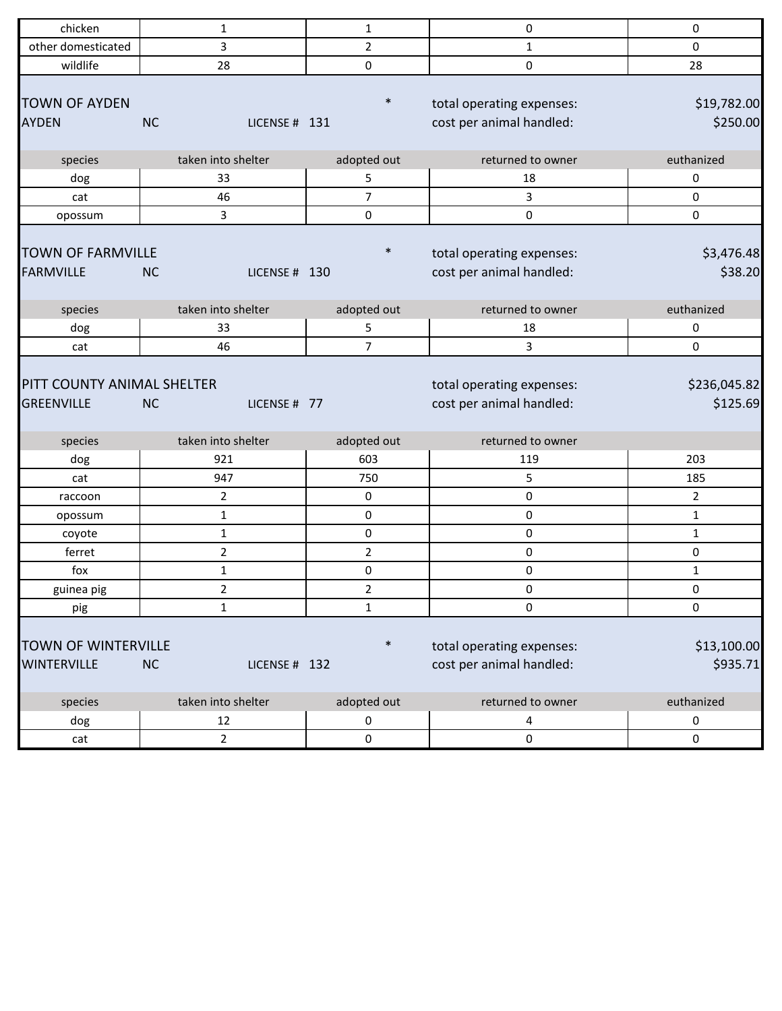| chicken                                          | $\mathbf{1}$       | $\mathbf{1}$            | 0                                                     | 0                        |
|--------------------------------------------------|--------------------|-------------------------|-------------------------------------------------------|--------------------------|
| other domesticated                               | 3                  | $\overline{2}$          | $\mathbf{1}$                                          | $\Omega$                 |
| wildlife                                         | 28                 | 0                       | 0                                                     | 28                       |
| <b>TOWN OF AYDEN</b><br><b>AYDEN</b>             | <b>NC</b>          | $\ast$<br>LICENSE # 131 | total operating expenses:<br>cost per animal handled: | \$19,782.00<br>\$250.00  |
| species                                          | taken into shelter | adopted out             | returned to owner                                     | euthanized               |
| dog                                              | 33                 | 5                       | 18                                                    | 0                        |
| cat                                              | 46                 | $\overline{7}$          | 3                                                     | 0                        |
| opossum                                          | 3                  | 0                       | 0                                                     | 0                        |
| <b>TOWN OF FARMVILLE</b><br><b>FARMVILLE</b>     | <b>NC</b>          | $\ast$<br>LICENSE # 130 | total operating expenses:<br>cost per animal handled: | \$3,476.48<br>\$38.20    |
| species                                          | taken into shelter | adopted out             | returned to owner                                     | euthanized               |
| dog                                              | 33                 | 5                       | 18                                                    | 0                        |
| cat                                              | 46                 | $\overline{7}$          | 3                                                     | 0                        |
| PITT COUNTY ANIMAL SHELTER<br><b>GREENVILLE</b>  | <b>NC</b>          | LICENSE # 77            | total operating expenses:<br>cost per animal handled: | \$236,045.82<br>\$125.69 |
| species                                          | taken into shelter | adopted out             | returned to owner                                     |                          |
| dog                                              | 921                | 603                     | 119                                                   | 203                      |
| cat                                              | 947                | 750                     | 5                                                     | 185                      |
| raccoon                                          | $\overline{2}$     | $\mathsf{O}\xspace$     | 0                                                     | $\overline{2}$           |
| opossum                                          | $\mathbf{1}$       | 0                       | 0                                                     | $\mathbf{1}$             |
| coyote                                           | $\mathbf{1}$       | 0                       | 0                                                     | $\mathbf{1}$             |
| ferret                                           | $\overline{2}$     | $\overline{2}$          | 0                                                     | 0                        |
| fox                                              | $\mathbf{1}$       | 0                       | 0                                                     | $\mathbf{1}$             |
| guinea pig                                       | 2                  | 2                       | 0                                                     | 0                        |
| pig                                              | $\mathbf{1}$       | $\mathbf{1}$            | 0                                                     | $\pmb{0}$                |
| <b>TOWN OF WINTERVILLE</b><br><b>WINTERVILLE</b> | <b>NC</b>          | $\ast$<br>LICENSE # 132 | total operating expenses:<br>cost per animal handled: | \$13,100.00<br>\$935.71  |
| species                                          | taken into shelter | adopted out             | returned to owner                                     | euthanized               |
| dog                                              | 12                 | 0                       | 4                                                     | 0                        |
| cat                                              | $\overline{2}$     | $\mathsf{O}\xspace$     | 0                                                     | $\pmb{0}$                |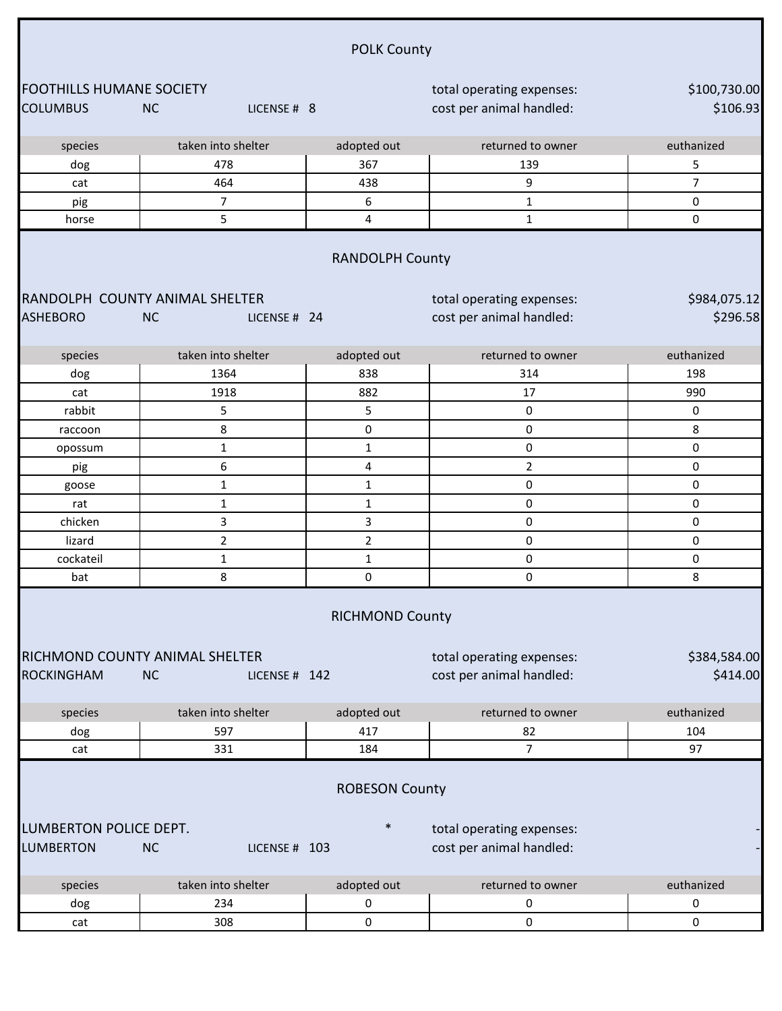|                                 |                                                             | <b>POLK County</b>     |                                                       |                          |
|---------------------------------|-------------------------------------------------------------|------------------------|-------------------------------------------------------|--------------------------|
| <b>FOOTHILLS HUMANE SOCIETY</b> |                                                             |                        | total operating expenses:                             | \$100,730.00             |
| <b>COLUMBUS</b>                 | <b>NC</b><br>LICENSE # 8                                    |                        | cost per animal handled:                              | \$106.93                 |
|                                 |                                                             |                        |                                                       |                          |
| species                         | taken into shelter                                          | adopted out            | returned to owner                                     | euthanized               |
| dog                             | 478                                                         | 367                    | 139                                                   | 5                        |
| cat                             | 464                                                         | 438                    | 9                                                     | $\overline{7}$           |
| pig                             | $\overline{7}$                                              | 6                      | $\mathbf{1}$                                          | 0                        |
| horse                           | 5                                                           | 4                      | $\mathbf{1}$                                          | 0                        |
|                                 |                                                             | <b>RANDOLPH County</b> |                                                       |                          |
| <b>ASHEBORO</b>                 | RANDOLPH COUNTY ANIMAL SHELTER<br><b>NC</b><br>LICENSE # 24 |                        | total operating expenses:<br>cost per animal handled: | \$984,075.12<br>\$296.58 |
| species                         | taken into shelter                                          | adopted out            | returned to owner                                     | euthanized               |
| dog                             | 1364                                                        | 838                    | 314                                                   | 198                      |
| cat                             | 1918                                                        | 882                    | 17                                                    | 990                      |
| rabbit                          | 5                                                           | 5                      | 0                                                     | 0                        |
| raccoon                         | 8                                                           | 0                      | 0                                                     | 8                        |
| opossum                         | $\mathbf{1}$                                                | $\mathbf{1}$           | 0                                                     | 0                        |
| pig                             | 6                                                           | 4                      | $\overline{2}$                                        | 0                        |
| goose                           | $\mathbf{1}$                                                | $\mathbf{1}$           | 0                                                     | 0                        |
| rat                             | $\mathbf{1}$                                                | $\mathbf{1}$           | 0                                                     | 0                        |
| chicken                         | 3                                                           | 3                      | 0                                                     | 0                        |
| lizard                          | $\overline{2}$                                              | $\overline{2}$         | 0                                                     | 0                        |
| cockateil                       | $\mathbf{1}$                                                | $\mathbf{1}$           | 0                                                     | 0                        |
| bat                             | 8                                                           | 0                      | 0                                                     | 8                        |
|                                 |                                                             | <b>RICHMOND County</b> |                                                       |                          |
|                                 | RICHMOND COUNTY ANIMAL SHELTER                              |                        | total operating expenses:                             | \$384,584.00             |
| <b>ROCKINGHAM</b>               | <b>NC</b><br>LICENSE # 142                                  |                        | cost per animal handled:                              | \$414.00                 |
| species                         | taken into shelter                                          | adopted out            | returned to owner                                     | euthanized               |
| dog                             | 597                                                         | 417                    | 82                                                    | 104                      |
| cat                             | 331                                                         | 184                    | $\overline{7}$                                        | 97                       |
|                                 |                                                             | <b>ROBESON County</b>  |                                                       |                          |
| LUMBERTON POLICE DEPT.          |                                                             | $\ast$                 | total operating expenses:                             |                          |
| <b>LUMBERTON</b>                | <b>NC</b><br>LICENSE # 103                                  |                        | cost per animal handled:                              |                          |
| species                         | taken into shelter                                          | adopted out            | returned to owner                                     | euthanized               |
| dog                             | 234                                                         | 0                      | 0                                                     | 0                        |
| cat                             | 308                                                         | 0                      | 0                                                     | 0                        |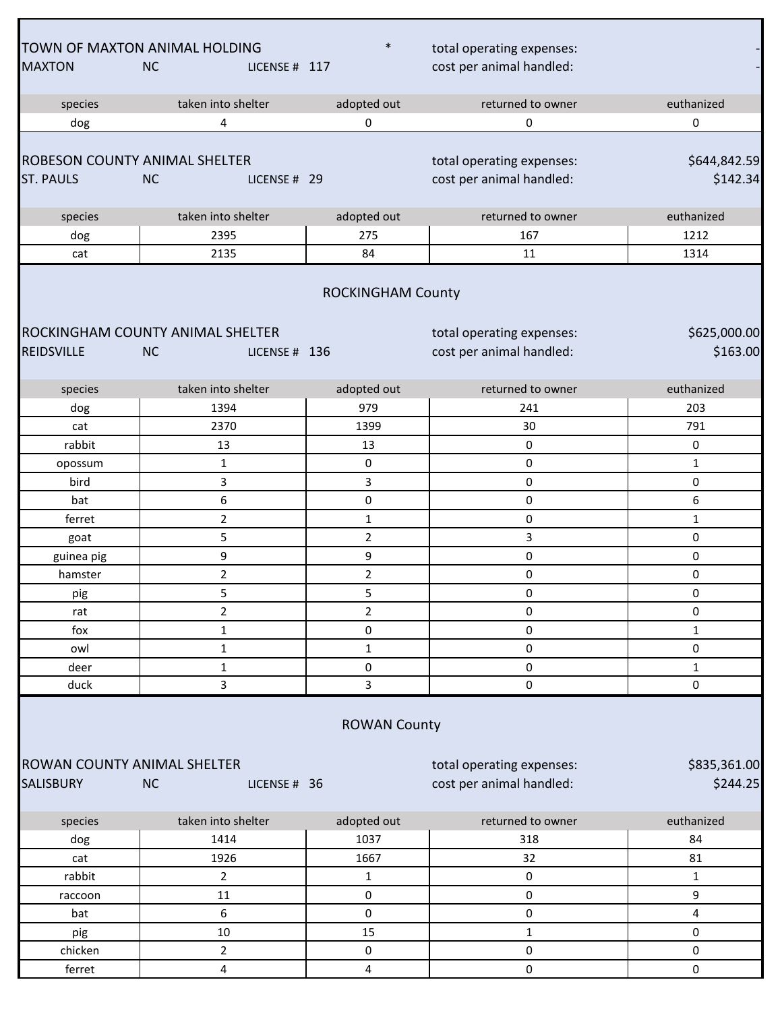|                   | TOWN OF MAXTON ANIMAL HOLDING                            | $\ast$                   | total operating expenses:                             |                          |
|-------------------|----------------------------------------------------------|--------------------------|-------------------------------------------------------|--------------------------|
| <b>MAXTON</b>     | <b>NC</b><br>LICENSE # 117                               |                          | cost per animal handled:                              |                          |
| species           | taken into shelter                                       | adopted out              | returned to owner                                     | euthanized               |
| dog               | 4                                                        | 0                        | 0                                                     | 0                        |
|                   |                                                          |                          |                                                       |                          |
|                   | ROBESON COUNTY ANIMAL SHELTER                            |                          | total operating expenses:                             | \$644,842.59             |
| <b>ST. PAULS</b>  | <b>NC</b><br>LICENSE # 29                                |                          | cost per animal handled:                              | \$142.34                 |
| species           | taken into shelter                                       | adopted out              | returned to owner                                     | euthanized               |
| dog               | 2395                                                     | 275                      | 167                                                   | 1212                     |
| cat               | 2135                                                     | 84                       | 11                                                    | 1314                     |
|                   |                                                          | <b>ROCKINGHAM County</b> |                                                       |                          |
|                   | ROCKINGHAM COUNTY ANIMAL SHELTER                         |                          | total operating expenses:                             | \$625,000.00             |
| <b>REIDSVILLE</b> | <b>NC</b><br>LICENSE # 136                               |                          | cost per animal handled:                              | \$163.00                 |
|                   |                                                          |                          |                                                       |                          |
| species           | taken into shelter                                       | adopted out              | returned to owner                                     | euthanized               |
| dog               | 1394                                                     | 979                      | 241                                                   | 203                      |
| cat               | 2370                                                     | 1399                     | 30                                                    | 791                      |
| rabbit            | 13                                                       | 13                       | 0                                                     | 0                        |
| opossum           | $\mathbf{1}$                                             | 0                        | 0                                                     | $\mathbf{1}$             |
| bird              | 3                                                        | 3                        | 0                                                     | 0                        |
| bat               | 6                                                        | 0                        | 0                                                     | 6                        |
| ferret            | $\overline{2}$                                           | $\mathbf 1$              | 0                                                     | $\mathbf{1}$             |
| goat              | 5                                                        | $\overline{2}$           | 3                                                     | 0                        |
| guinea pig        | 9                                                        | 9                        | 0                                                     | 0                        |
| hamster           | $\overline{2}$                                           | $\overline{2}$           | 0                                                     | 0                        |
| pig               | 5                                                        | 5                        | 0                                                     | 0                        |
| rat               | $\overline{2}$                                           | $\overline{2}$           | 0                                                     | $\mathsf 0$              |
| fox               | $\mathbf{1}$                                             | 0                        | 0                                                     | $\mathbf{1}$             |
| owl               | $\mathbf{1}$                                             | $\mathbf{1}$             | 0                                                     | $\mathsf{O}\xspace$      |
| deer              | $\mathbf{1}$                                             | 0                        | 0                                                     | $\mathbf{1}$             |
| duck              | 3                                                        | 3                        | 0                                                     | 0                        |
|                   |                                                          | <b>ROWAN County</b>      |                                                       |                          |
| <b>SALISBURY</b>  | ROWAN COUNTY ANIMAL SHELTER<br><b>NC</b><br>LICENSE # 36 |                          | total operating expenses:<br>cost per animal handled: | \$835,361.00<br>\$244.25 |
| species           | taken into shelter                                       | adopted out              | returned to owner                                     | euthanized               |
| dog               | 1414                                                     | 1037                     | 318                                                   | 84                       |
| cat               | 1926                                                     | 1667                     | 32                                                    | 81                       |
| rabbit            | $\overline{2}$                                           | $\mathbf 1$              | $\mathsf{O}\xspace$                                   | $\mathbf{1}$             |
| raccoon           | $11\,$                                                   | $\pmb{0}$                | 0                                                     | 9                        |
| bat               | 6                                                        | $\mathsf{O}\xspace$      | 0                                                     | 4                        |
| pig               | 10                                                       | 15                       | $\mathbf{1}$                                          | 0                        |
| chicken           | $\overline{2}$                                           | $\mathbf 0$              | 0                                                     | $\mathbf 0$              |
| ferret            | 4                                                        | $\overline{\mathbf{4}}$  | 0                                                     | $\mathbf 0$              |

Г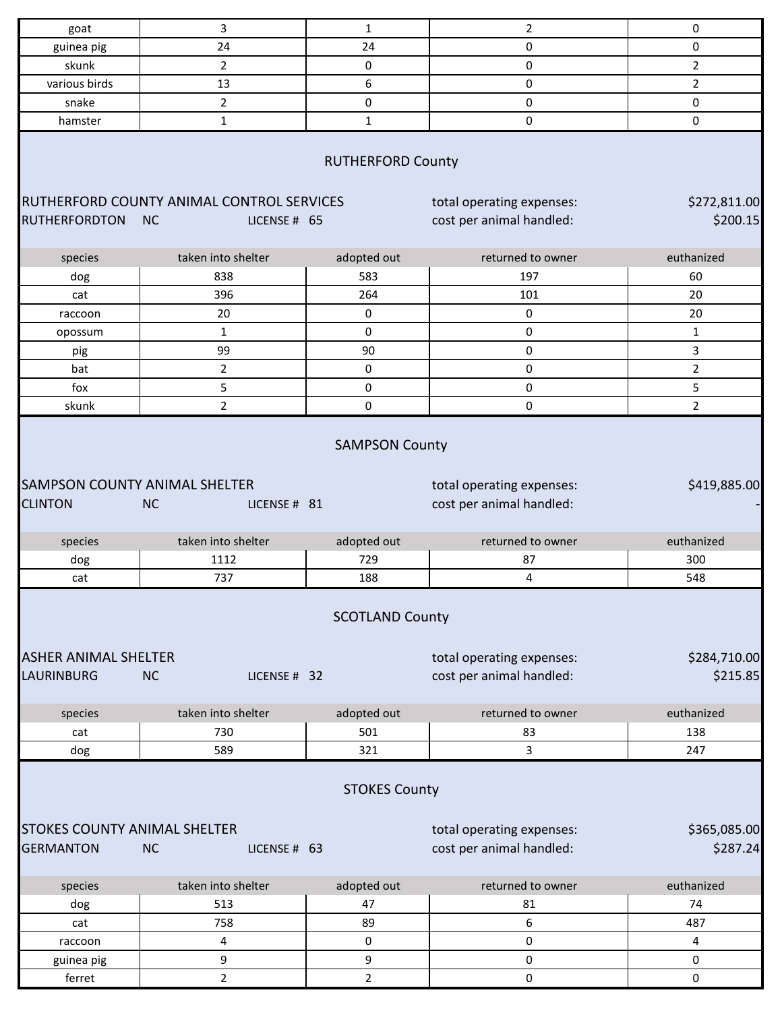| goat                                | 3                                                                      | $\mathbf{1}$                       | 2                                                     | 0                        |
|-------------------------------------|------------------------------------------------------------------------|------------------------------------|-------------------------------------------------------|--------------------------|
| guinea pig                          | 24                                                                     | 24                                 | $\pmb{0}$                                             | $\mathbf 0$              |
| skunk                               | $\overline{2}$                                                         | 0                                  | 0                                                     | $\overline{2}$           |
| various birds                       | 13                                                                     | 6                                  | $\pmb{0}$                                             | $\overline{2}$           |
| snake                               | $\overline{2}$                                                         | 0                                  | 0                                                     | $\mathbf 0$              |
| hamster                             | $\mathbf{1}$                                                           | $\mathbf{1}$                       | 0                                                     | $\mathbf 0$              |
| <b>RUTHERFORDTON</b>                | RUTHERFORD COUNTY ANIMAL CONTROL SERVICES<br><b>NC</b><br>LICENSE # 65 | <b>RUTHERFORD County</b>           | total operating expenses:<br>cost per animal handled: | \$272,811.00<br>\$200.15 |
|                                     |                                                                        |                                    |                                                       |                          |
| species                             | taken into shelter                                                     | adopted out                        | returned to owner                                     | euthanized               |
| dog                                 | 838                                                                    | 583                                | 197                                                   | 60                       |
| cat                                 | 396                                                                    | 264                                | 101                                                   | 20                       |
| raccoon                             | 20                                                                     | 0                                  | 0                                                     | 20                       |
| opossum                             | $\mathbf{1}$                                                           | 0                                  | 0                                                     | $\mathbf{1}$             |
| pig                                 | 99                                                                     | 90                                 | 0                                                     | 3                        |
| bat                                 | $\overline{2}$                                                         | 0                                  | 0                                                     | $\overline{2}$           |
| fox                                 | 5                                                                      | 0                                  | 0                                                     | 5                        |
| skunk                               | $\overline{2}$                                                         | 0                                  | $\pmb{0}$                                             | $\overline{2}$           |
| <b>CLINTON</b>                      | <b>SAMPSON COUNTY ANIMAL SHELTER</b><br><b>NC</b><br>LICENSE # 81      |                                    | total operating expenses:<br>cost per animal handled: | \$419,885.00             |
| species                             | taken into shelter                                                     | adopted out                        | returned to owner                                     | euthanized               |
| dog                                 | 1112                                                                   | 729                                | 87                                                    | 300                      |
| cat                                 | 737                                                                    | 188                                | 4                                                     | 548                      |
|                                     |                                                                        | <b>SCOTLAND County</b>             |                                                       |                          |
| <b>ASHER ANIMAL SHELTER</b>         |                                                                        |                                    | total operating expenses:                             | \$284,710.00             |
| <b>LAURINBURG</b>                   | <b>NC</b><br>LICENSE # 32                                              |                                    | cost per animal handled:                              | \$215.85                 |
|                                     | taken into shelter                                                     |                                    |                                                       | euthanized               |
| species                             | 730                                                                    | adopted out<br>501                 | returned to owner<br>83                               | 138                      |
| cat<br>dog                          | 589                                                                    | 321                                | 3                                                     | 247                      |
| <b>STOKES COUNTY ANIMAL SHELTER</b> |                                                                        | <b>STOKES County</b>               | total operating expenses:                             | \$365,085.00             |
| <b>GERMANTON</b>                    | <b>NC</b><br>LICENSE # 63                                              |                                    | cost per animal handled:                              | \$287.24                 |
| species                             | taken into shelter                                                     | adopted out                        | returned to owner                                     | euthanized               |
| dog                                 | 513                                                                    | 47                                 | 81                                                    | 74                       |
| cat                                 | 758                                                                    | 89                                 | 6                                                     | 487                      |
| raccoon                             | $\overline{4}$                                                         | $\pmb{0}$                          | 0                                                     | $\overline{4}$           |
| guinea pig<br>ferret                | 9<br>$\overline{2}$                                                    | $\boldsymbol{9}$<br>$\overline{2}$ | 0<br>0                                                | 0<br>0                   |
|                                     |                                                                        |                                    |                                                       |                          |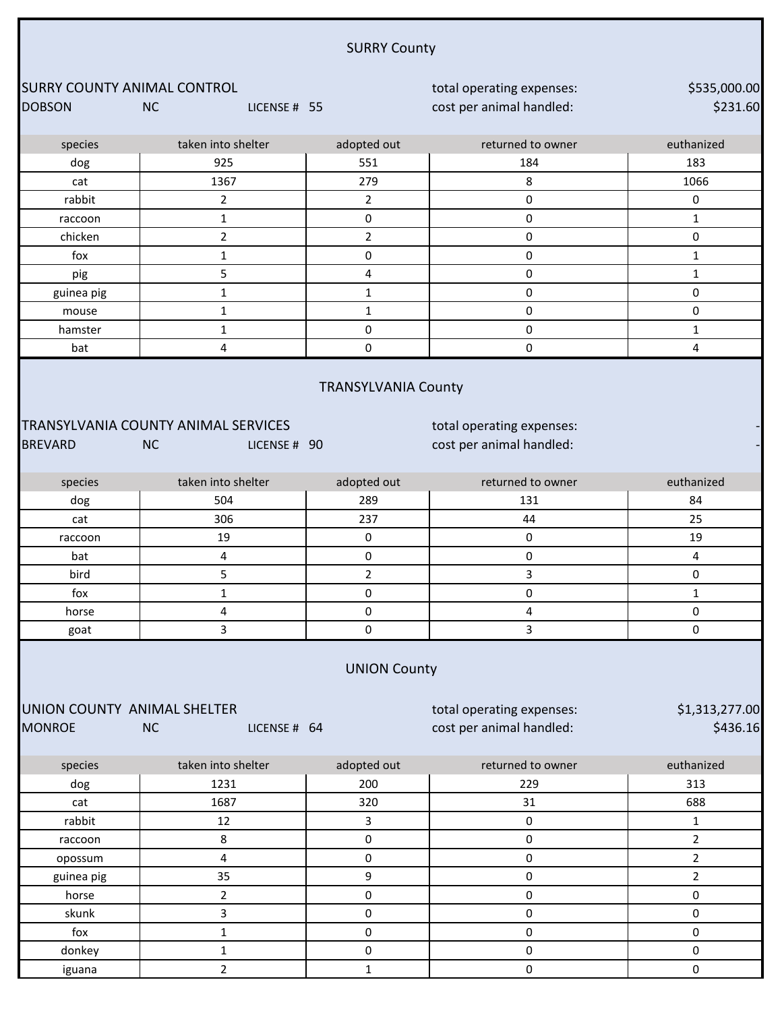|                                              |                                                                  | <b>SURRY County</b>        |                                                       |                            |
|----------------------------------------------|------------------------------------------------------------------|----------------------------|-------------------------------------------------------|----------------------------|
|                                              |                                                                  |                            |                                                       |                            |
| <b>SURRY COUNTY ANIMAL CONTROL</b>           |                                                                  |                            | total operating expenses:                             | \$535,000.00               |
| <b>DOBSON</b>                                | <b>NC</b><br>LICENSE # 55                                        |                            | cost per animal handled:                              | \$231.60                   |
|                                              |                                                                  |                            |                                                       |                            |
| species                                      | taken into shelter                                               | adopted out                | returned to owner                                     | euthanized                 |
| dog                                          | 925                                                              | 551                        | 184                                                   | 183                        |
| cat                                          | 1367                                                             | 279                        | 8                                                     | 1066                       |
| rabbit                                       | $\overline{2}$                                                   | $\overline{2}$             | 0                                                     | $\mathbf 0$                |
| raccoon                                      | $\mathbf{1}$                                                     | 0                          | 0                                                     | $\mathbf{1}$               |
| chicken                                      | $\overline{2}$                                                   | $\overline{2}$             | 0                                                     | 0                          |
| fox                                          | $\mathbf{1}$                                                     | 0                          | 0                                                     | 1                          |
| pig                                          | 5                                                                | 4                          | $\pmb{0}$                                             | 1                          |
| guinea pig                                   | $\mathbf{1}$                                                     | $\mathbf{1}$               | 0                                                     | 0                          |
| mouse                                        | $\mathbf{1}$                                                     | $\mathbf{1}$               | 0                                                     | 0                          |
| hamster                                      | $\mathbf{1}$                                                     | 0                          | 0                                                     | $\mathbf{1}$               |
| bat                                          | 4                                                                | 0                          | 0                                                     | 4                          |
| <b>BREVARD</b>                               | TRANSYLVANIA COUNTY ANIMAL SERVICES<br><b>NC</b><br>LICENSE # 90 | <b>TRANSYLVANIA County</b> | total operating expenses:<br>cost per animal handled: |                            |
| species                                      | taken into shelter                                               | adopted out                | returned to owner                                     | euthanized                 |
| dog                                          | 504                                                              | 289                        | 131                                                   | 84                         |
| cat                                          | 306                                                              | 237                        | 44                                                    | 25                         |
| raccoon                                      | 19                                                               | 0                          | $\pmb{0}$                                             | 19                         |
| bat                                          | $\overline{4}$                                                   | 0                          | 0                                                     | 4                          |
| bird                                         | 5                                                                | $\overline{2}$             | 3                                                     | 0                          |
| fox                                          | $\mathbf 1$                                                      | $\pmb{0}$                  | 0                                                     | $\mathbf{1}$               |
| horse                                        | $\overline{\mathbf{4}}$                                          | 0                          | $\overline{\mathbf{4}}$                               | 0                          |
| goat                                         | 3                                                                | $\mathsf{O}\xspace$        | 3                                                     | $\mathsf{O}\xspace$        |
| UNION COUNTY ANIMAL SHELTER<br><b>MONROE</b> | <b>NC</b><br>LICENSE # 64                                        | <b>UNION County</b>        | total operating expenses:<br>cost per animal handled: | \$1,313,277.00<br>\$436.16 |
| species                                      | taken into shelter                                               | adopted out                | returned to owner                                     | euthanized                 |
| dog                                          | 1231                                                             | 200                        | 229                                                   | 313                        |
| cat                                          | 1687                                                             | 320                        | 31                                                    | 688                        |
| rabbit                                       | 12                                                               | 3                          | 0                                                     | $\mathbf{1}$               |
| raccoon                                      | 8                                                                | 0                          | 0                                                     | $\overline{2}$             |
| opossum                                      | $\overline{\mathbf{4}}$                                          | 0                          | 0                                                     | $\overline{2}$             |
| guinea pig                                   | 35                                                               | 9                          | 0                                                     | $\overline{a}$             |
| horse                                        | $\overline{2}$                                                   | $\pmb{0}$                  | 0                                                     | $\pmb{0}$                  |
| skunk                                        | $\mathbf{3}$                                                     | 0                          | 0                                                     | $\pmb{0}$                  |
| fox                                          | $\mathbf{1}$                                                     | 0                          | $\pmb{0}$                                             | $\pmb{0}$                  |
| donkey                                       | $\mathbf{1}$                                                     | $\mathsf 0$                | $\mathbf 0$                                           | $\mathbf 0$                |
| iguana                                       | $\overline{2}$                                                   | $\mathbf{1}$               | $\mathsf{O}\xspace$                                   | $\mathbf 0$                |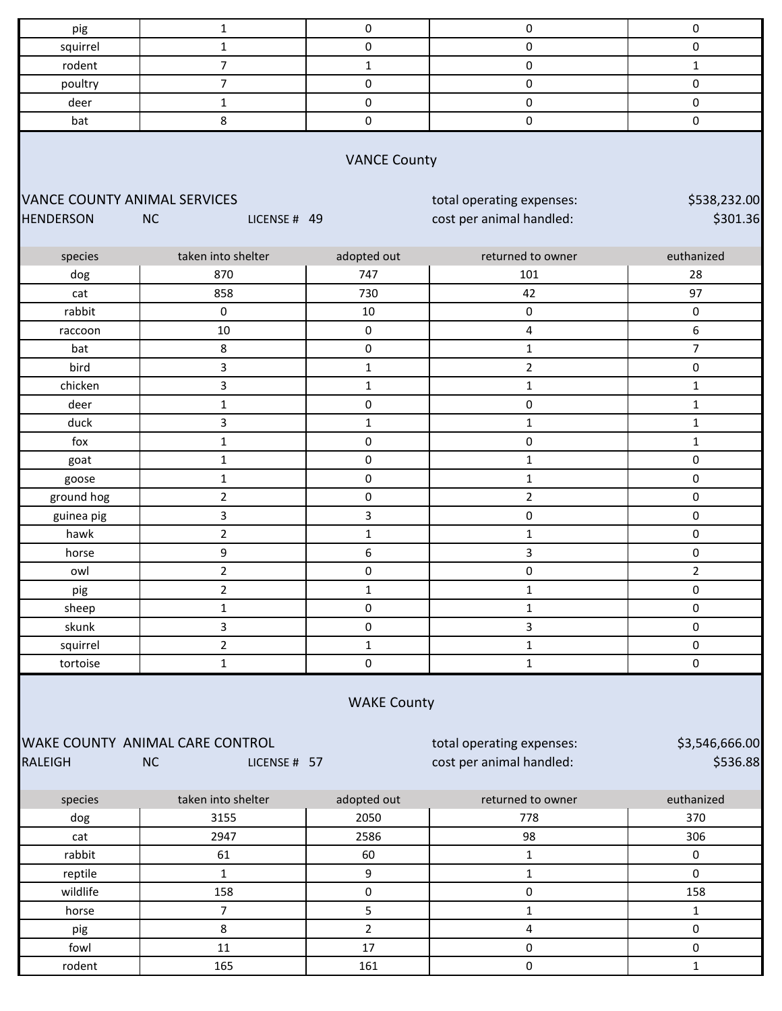| pig                                                                                                                                                                                  | $\mathbf{1}$              | $\pmb{0}$           | 0                                                     | $\mathsf{O}\xspace$      |  |
|--------------------------------------------------------------------------------------------------------------------------------------------------------------------------------------|---------------------------|---------------------|-------------------------------------------------------|--------------------------|--|
| squirrel                                                                                                                                                                             | $\mathbf{1}$              | $\pmb{0}$           | 0                                                     | $\mathsf{O}\xspace$      |  |
| rodent                                                                                                                                                                               | $\overline{7}$            | $\mathbf{1}$        | 0                                                     | $\mathbf{1}$             |  |
| poultry                                                                                                                                                                              | $\overline{7}$            | 0                   | 0                                                     | $\mathsf{O}\xspace$      |  |
| deer                                                                                                                                                                                 | $\mathbf{1}$              | $\pmb{0}$           | 0                                                     | $\mathsf{O}\xspace$      |  |
| bat                                                                                                                                                                                  | 8                         | $\pmb{0}$           | 0                                                     | $\pmb{0}$                |  |
| <b>VANCE COUNTY ANIMAL SERVICES</b><br><b>HENDERSON</b>                                                                                                                              | <b>NC</b><br>LICENSE # 49 | <b>VANCE County</b> | total operating expenses:<br>cost per animal handled: | \$538,232.00<br>\$301.36 |  |
|                                                                                                                                                                                      |                           |                     |                                                       |                          |  |
| species                                                                                                                                                                              | taken into shelter        | adopted out         | returned to owner                                     | euthanized               |  |
| dog                                                                                                                                                                                  | 870                       | 747                 | 101                                                   | 28                       |  |
| cat                                                                                                                                                                                  | 858                       | 730                 | 42                                                    | 97                       |  |
| rabbit                                                                                                                                                                               | $\pmb{0}$                 | $10\,$              | 0                                                     | $\pmb{0}$                |  |
| raccoon                                                                                                                                                                              | 10                        | $\pmb{0}$           | 4                                                     | 6                        |  |
| bat                                                                                                                                                                                  | 8                         | 0                   | $\mathbf{1}$                                          | $\overline{7}$           |  |
| bird                                                                                                                                                                                 | 3                         | $\mathbf{1}$        | $\overline{2}$                                        | 0                        |  |
| chicken                                                                                                                                                                              | 3                         | $\mathbf 1$         | $\mathbf 1$                                           | $\mathbf 1$              |  |
| deer                                                                                                                                                                                 | $\mathbf{1}$              | 0                   | 0                                                     | $\mathbf{1}$             |  |
| duck                                                                                                                                                                                 | 3                         | $\mathbf 1$         | $\mathbf{1}$                                          | $\mathbf{1}$             |  |
| fox                                                                                                                                                                                  | $\mathbf{1}$              | $\pmb{0}$           | 0                                                     | $\mathbf{1}$             |  |
| goat                                                                                                                                                                                 | $\mathbf{1}$              | $\pmb{0}$           | $\mathbf{1}$                                          | 0                        |  |
| goose                                                                                                                                                                                | $\mathbf{1}$              | $\pmb{0}$           | $\mathbf{1}$                                          | $\mathsf{O}\xspace$      |  |
| ground hog                                                                                                                                                                           | $\overline{a}$            | 0                   | $\overline{2}$                                        | 0                        |  |
| guinea pig                                                                                                                                                                           | 3                         | 3                   | 0                                                     | $\pmb{0}$                |  |
| hawk                                                                                                                                                                                 | $\overline{a}$            | $\mathbf 1$         | $\mathbf{1}$                                          | $\mathsf{O}\xspace$      |  |
| horse                                                                                                                                                                                | 9                         | 6                   | 3                                                     | $\pmb{0}$                |  |
| owl                                                                                                                                                                                  | $\overline{a}$            | 0                   | 0                                                     | $\overline{2}$           |  |
| pig                                                                                                                                                                                  | $\overline{a}$            | $\mathbf 1$         | $\mathbf 1$                                           | 0                        |  |
| sheep                                                                                                                                                                                | $\mathbf{1}$              | 0                   | 1                                                     | $\mathsf 0$              |  |
| skunk                                                                                                                                                                                | $\overline{\mathbf{3}}$   | $\pmb{0}$           | 3                                                     | $\mathsf{O}\xspace$      |  |
| squirrel                                                                                                                                                                             | $\overline{2}$            | $\mathbf 1$         | $\mathbf 1$                                           | $\mathsf{O}\xspace$      |  |
| tortoise                                                                                                                                                                             | $\mathbf{1}$              | $\mathsf{O}\xspace$ | $\mathbf{1}$                                          | $\mathsf{O}\xspace$      |  |
| <b>WAKE County</b><br>WAKE COUNTY ANIMAL CARE CONTROL<br>\$3,546,666.00<br>total operating expenses:<br>\$536.88<br>cost per animal handled:<br><b>RALEIGH</b><br>NC<br>LICENSE # 57 |                           |                     |                                                       |                          |  |
| species                                                                                                                                                                              | taken into shelter        | adopted out         | returned to owner                                     | euthanized               |  |
| dog                                                                                                                                                                                  | 3155                      | 2050                | 778                                                   | 370                      |  |
| cat                                                                                                                                                                                  | 2947                      | 2586                | 98                                                    | 306                      |  |
| rabbit                                                                                                                                                                               | 61                        | 60                  | $\mathbf{1}$                                          | $\mathbf 0$              |  |
| reptile                                                                                                                                                                              | $\mathbf{1}$              | 9                   | $\mathbf{1}$                                          | $\mathbf 0$              |  |
| wildlife                                                                                                                                                                             | 158                       | $\pmb{0}$           | 0                                                     | 158                      |  |
| horse                                                                                                                                                                                | $\overline{7}$            | 5                   | $\mathbf 1$                                           | $\mathbf{1}$             |  |
| pig                                                                                                                                                                                  | 8                         | $\overline{2}$      | 4                                                     | $\pmb{0}$                |  |
| fowl                                                                                                                                                                                 | $11\,$                    | 17                  | $\pmb{0}$                                             | $\mathsf{O}\xspace$      |  |
| rodent                                                                                                                                                                               | 165                       | 161                 | 0                                                     | $\mathbf 1$              |  |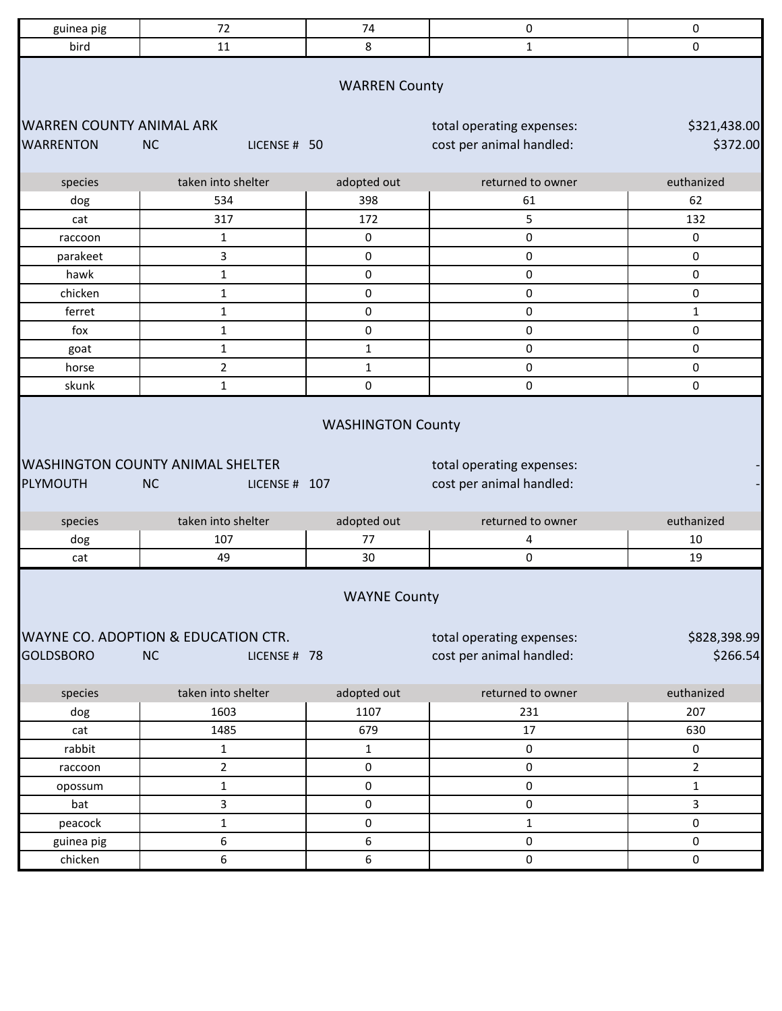| guinea pig                                          | 72                                                                    | 74                       | 0                                                     | 0                        |
|-----------------------------------------------------|-----------------------------------------------------------------------|--------------------------|-------------------------------------------------------|--------------------------|
| bird                                                | 11                                                                    | 8                        | $\mathbf 1$                                           | $\pmb{0}$                |
|                                                     |                                                                       | <b>WARREN County</b>     |                                                       |                          |
| <b>WARREN COUNTY ANIMAL ARK</b><br><b>WARRENTON</b> | <b>NC</b><br>LICENSE # 50                                             |                          | total operating expenses:<br>cost per animal handled: | \$321,438.00<br>\$372.00 |
| species                                             | taken into shelter                                                    | adopted out              | returned to owner                                     | euthanized               |
| dog                                                 | 534                                                                   | 398                      | 61                                                    | 62                       |
| cat                                                 | 317                                                                   | 172                      | 5                                                     | 132                      |
| raccoon                                             | $\mathbf{1}$                                                          | 0                        | 0                                                     | 0                        |
| parakeet                                            | 3                                                                     | 0                        | 0                                                     | 0                        |
| hawk                                                | $\mathbf{1}$                                                          | 0                        | 0                                                     | 0                        |
| chicken                                             | $\mathbf{1}$                                                          | 0                        | 0                                                     | $\mathsf{O}\xspace$      |
| ferret                                              | $\mathbf{1}$                                                          | 0                        | 0                                                     | $\mathbf{1}$             |
| fox                                                 | $\mathbf{1}$                                                          | 0                        | 0                                                     | 0                        |
| goat                                                | $\mathbf{1}$                                                          | $\mathbf{1}$             | 0                                                     | 0                        |
| horse                                               | $\overline{2}$                                                        | $\mathbf{1}$             | 0                                                     | 0                        |
| skunk                                               | $\mathbf{1}$                                                          | 0                        | 0                                                     | $\mathsf{O}\xspace$      |
|                                                     |                                                                       | <b>WASHINGTON County</b> |                                                       |                          |
| PLYMOUTH                                            | <b>WASHINGTON COUNTY ANIMAL SHELTER</b><br><b>NC</b><br>LICENSE # 107 |                          | total operating expenses:<br>cost per animal handled: |                          |
| species                                             | taken into shelter                                                    | adopted out              | returned to owner                                     | euthanized               |
| dog                                                 | 107                                                                   | 77                       | 4                                                     | 10                       |
| cat                                                 | 49                                                                    | 30                       | 0                                                     | 19                       |
| <b>GOLDSBORO</b>                                    | WAYNE CO. ADOPTION & EDUCATION CTR.<br><b>NC</b><br>LICENSE # 78      | <b>WAYNE County</b>      | total operating expenses:<br>cost per animal handled: | \$828,398.99<br>\$266.54 |
| species                                             | taken into shelter                                                    | adopted out              | returned to owner                                     | euthanized               |
| dog                                                 | 1603                                                                  | 1107                     | 231                                                   | 207                      |
| cat                                                 | 1485                                                                  | 679                      | 17                                                    | 630                      |
| rabbit                                              | $\mathbf{1}$                                                          | $\mathbf{1}$             | 0                                                     | 0                        |
| raccoon                                             | $\overline{2}$                                                        | 0                        | 0                                                     | $\overline{2}$           |
| opossum                                             | $\mathbf{1}$                                                          | 0                        | 0                                                     | $\mathbf{1}$             |
| bat                                                 | 3                                                                     | 0                        | 0                                                     | 3                        |
| peacock                                             | $\mathbf{1}$                                                          | 0                        | $\mathbf{1}$                                          | 0                        |
| guinea pig                                          | 6                                                                     | 6                        | 0                                                     | 0                        |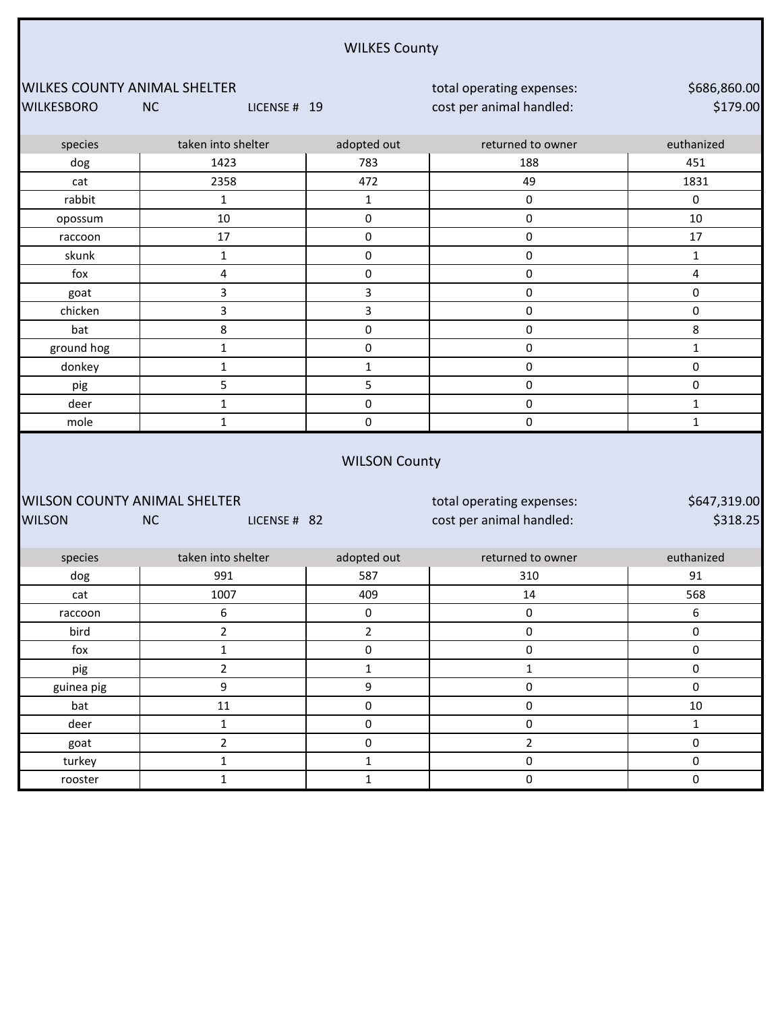|                                     |                           | <b>WILKES County</b> |                           |                     |
|-------------------------------------|---------------------------|----------------------|---------------------------|---------------------|
| <b>WILKES COUNTY ANIMAL SHELTER</b> |                           |                      | total operating expenses: | \$686,860.00        |
| <b>WILKESBORO</b>                   | <b>NC</b><br>LICENSE # 19 |                      | cost per animal handled:  | \$179.00            |
| species                             | taken into shelter        | adopted out          | returned to owner         | euthanized          |
| dog                                 | 1423                      | 783                  | 188                       | 451                 |
| cat                                 | 2358                      | 472                  | 49                        | 1831                |
| rabbit                              | $\mathbf{1}$              | $\mathbf{1}$         | $\mathbf 0$               | 0                   |
| opossum                             | 10                        | 0                    | 0                         | 10                  |
| raccoon                             | 17                        | 0                    | 0                         | 17                  |
| skunk                               | $\mathbf 1$               | $\pmb{0}$            | $\pmb{0}$                 | $\mathbf{1}$        |
| fox                                 | 4                         | $\pmb{0}$            | $\pmb{0}$                 | 4                   |
| goat                                | 3                         | 3                    | $\mathsf{O}\xspace$       | $\pmb{0}$           |
| chicken                             | 3                         | 3                    | 0                         | $\pmb{0}$           |
| bat                                 | 8                         | $\pmb{0}$            | 0                         | 8                   |
| ground hog                          | $\mathbf{1}$              | 0                    | 0                         | $\mathbf{1}$        |
| donkey                              | 1                         | $\mathbf{1}$         | 0                         | 0                   |
| pig                                 | 5                         | 5                    | $\pmb{0}$                 | $\pmb{0}$           |
| deer                                | 1                         | $\pmb{0}$            | $\pmb{0}$                 | 1                   |
| mole                                | $\mathbf{1}$              | $\pmb{0}$            | $\pmb{0}$                 | $\mathbf{1}$        |
|                                     |                           | <b>WILSON County</b> |                           |                     |
| <b>WILSON COUNTY ANIMAL SHELTER</b> |                           |                      | total operating expenses: | \$647,319.00        |
| <b>WILSON</b>                       | <b>NC</b><br>LICENSE # 82 |                      | cost per animal handled:  | \$318.25            |
| species                             | taken into shelter        | adopted out          | returned to owner         | euthanized          |
| dog                                 | 991                       | 587                  | 310                       | 91                  |
| cat                                 | 1007                      | 409                  | 14                        | 568                 |
| raccoon                             | 6                         | $\mathsf{O}$         | $\mathsf{O}$              | $6\,$               |
| bird                                | $\overline{2}$            | $\overline{2}$       | $\mathsf{O}\xspace$       | $\mathsf{O}\xspace$ |
| fox                                 | $\mathbf{1}$              | $\mathsf{O}\xspace$  | $\mathsf{O}\xspace$       | $\mathsf{O}\xspace$ |
| pig                                 | $\overline{2}$            | $\mathbf{1}$         | $\mathbf{1}$              | $\mathbf 0$         |
| guinea pig                          | 9                         | 9                    | $\mathsf{O}\xspace$       | $\mathsf 0$         |
| bat                                 | $11\,$                    | $\pmb{0}$            | $\mathsf{O}\xspace$       | $10\,$              |
| deer                                | $\mathbf 1$               | $\mathsf{O}\xspace$  | $\mathsf{O}\xspace$       | $\mathbf{1}$        |
| goat                                | $\overline{2}$            | $\mathsf{O}\xspace$  | $\overline{2}$            | $\pmb{0}$           |
| turkey                              | $\mathbf 1$               | $\mathbf{1}$         | $\mathsf{O}\xspace$       | $\mathsf{O}\xspace$ |
| rooster                             | $\mathbf{1}$              | $\mathbf{1}$         | $\mathsf{o}$              | $\mathsf{O}\xspace$ |